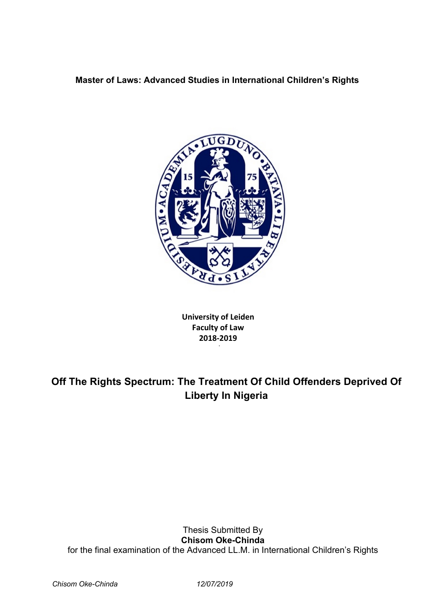# **Master of Laws: Advanced Studies in International Children's Rights**



**University of Leiden Faculty of Law 2018-2019**

de la construcción de la construcción de la construcción de la construcción de la construcción de la construcc

# **Off The Rights Spectrum: The Treatment Of Child Offenders Deprived Of Liberty In Nigeria**

Thesis Submitted By **Chisom Oke-Chinda** for the final examination of the Advanced LL.M. in International Children's Rights

*Chisom Oke-Chinda 12/07/2019*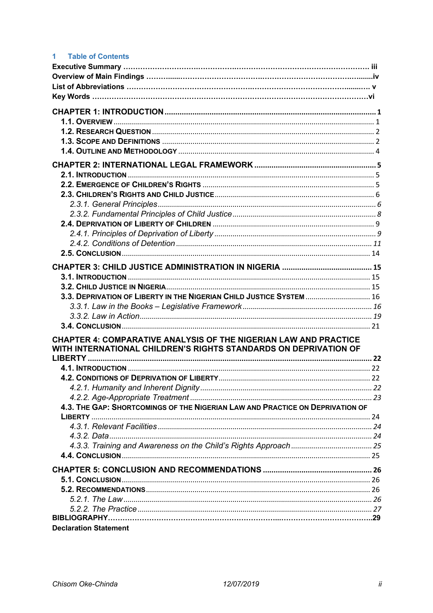| 1.<br><b>Table of Contents</b>                                                |  |
|-------------------------------------------------------------------------------|--|
|                                                                               |  |
|                                                                               |  |
|                                                                               |  |
|                                                                               |  |
|                                                                               |  |
|                                                                               |  |
|                                                                               |  |
|                                                                               |  |
|                                                                               |  |
|                                                                               |  |
|                                                                               |  |
|                                                                               |  |
|                                                                               |  |
|                                                                               |  |
|                                                                               |  |
|                                                                               |  |
|                                                                               |  |
|                                                                               |  |
|                                                                               |  |
|                                                                               |  |
|                                                                               |  |
|                                                                               |  |
|                                                                               |  |
|                                                                               |  |
| 3.3. DEPRIVATION OF LIBERTY IN THE NIGERIAN CHILD JUSTICE SYSTEM  16          |  |
|                                                                               |  |
|                                                                               |  |
|                                                                               |  |
| <b>CHAPTER 4: COMPARATIVE ANALYSIS OF THE NIGERIAN LAW AND PRACTICE</b>       |  |
| WITH INTERNATIONAL CHILDREN'S RIGHTS STANDARDS ON DEPRIVATION OF              |  |
|                                                                               |  |
|                                                                               |  |
|                                                                               |  |
|                                                                               |  |
|                                                                               |  |
| 4.3. THE GAP: SHORTCOMINGS OF THE NIGERIAN LAW AND PRACTICE ON DEPRIVATION OF |  |
|                                                                               |  |
|                                                                               |  |
|                                                                               |  |
|                                                                               |  |
|                                                                               |  |
|                                                                               |  |
|                                                                               |  |
|                                                                               |  |
|                                                                               |  |
|                                                                               |  |
|                                                                               |  |
| <b>Declaration Statement</b>                                                  |  |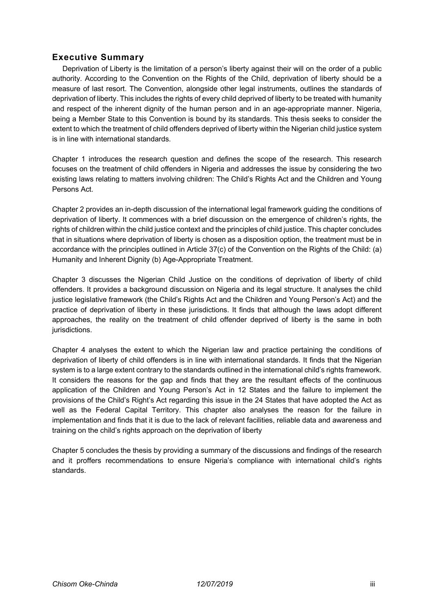# **Executive Summary**

Deprivation of Liberty is the limitation of a person's liberty against their will on the order of a public authority. According to the Convention on the Rights of the Child, deprivation of liberty should be a measure of last resort. The Convention, alongside other legal instruments, outlines the standards of deprivation of liberty. This includes the rights of every child deprived of liberty to be treated with humanity and respect of the inherent dignity of the human person and in an age-appropriate manner. Nigeria, being a Member State to this Convention is bound by its standards. This thesis seeks to consider the extent to which the treatment of child offenders deprived of liberty within the Nigerian child justice system is in line with international standards.

Chapter 1 introduces the research question and defines the scope of the research. This research focuses on the treatment of child offenders in Nigeria and addresses the issue by considering the two existing laws relating to matters involving children: The Child's Rights Act and the Children and Young Persons Act.

Chapter 2 provides an in-depth discussion of the international legal framework guiding the conditions of deprivation of liberty. It commences with a brief discussion on the emergence of children's rights, the rights of children within the child justice context and the principles of child justice. This chapter concludes that in situations where deprivation of liberty is chosen as a disposition option, the treatment must be in accordance with the principles outlined in Article 37(c) of the Convention on the Rights of the Child: (a) Humanity and Inherent Dignity (b) Age-Appropriate Treatment.

Chapter 3 discusses the Nigerian Child Justice on the conditions of deprivation of liberty of child offenders. It provides a background discussion on Nigeria and its legal structure. It analyses the child justice legislative framework (the Child's Rights Act and the Children and Young Person's Act) and the practice of deprivation of liberty in these jurisdictions. It finds that although the laws adopt different approaches, the reality on the treatment of child offender deprived of liberty is the same in both jurisdictions.

Chapter 4 analyses the extent to which the Nigerian law and practice pertaining the conditions of deprivation of liberty of child offenders is in line with international standards. It finds that the Nigerian system is to a large extent contrary to the standards outlined in the international child's rights framework. It considers the reasons for the gap and finds that they are the resultant effects of the continuous application of the Children and Young Person's Act in 12 States and the failure to implement the provisions of the Child's Right's Act regarding this issue in the 24 States that have adopted the Act as well as the Federal Capital Territory. This chapter also analyses the reason for the failure in implementation and finds that it is due to the lack of relevant facilities, reliable data and awareness and training on the child's rights approach on the deprivation of liberty

Chapter 5 concludes the thesis by providing a summary of the discussions and findings of the research and it proffers recommendations to ensure Nigeria's compliance with international child's rights standards.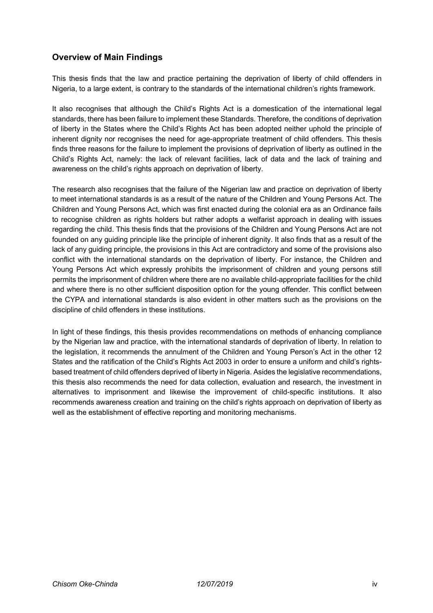# **Overview of Main Findings**

This thesis finds that the law and practice pertaining the deprivation of liberty of child offenders in Nigeria, to a large extent, is contrary to the standards of the international children's rights framework.

It also recognises that although the Child's Rights Act is a domestication of the international legal standards, there has been failure to implement these Standards. Therefore, the conditions of deprivation of liberty in the States where the Child's Rights Act has been adopted neither uphold the principle of inherent dignity nor recognises the need for age-appropriate treatment of child offenders. This thesis finds three reasons for the failure to implement the provisions of deprivation of liberty as outlined in the Child's Rights Act, namely: the lack of relevant facilities, lack of data and the lack of training and awareness on the child's rights approach on deprivation of liberty.

The research also recognises that the failure of the Nigerian law and practice on deprivation of liberty to meet international standards is as a result of the nature of the Children and Young Persons Act. The Children and Young Persons Act, which was first enacted during the colonial era as an Ordinance fails to recognise children as rights holders but rather adopts a welfarist approach in dealing with issues regarding the child. This thesis finds that the provisions of the Children and Young Persons Act are not founded on any guiding principle like the principle of inherent dignity. It also finds that as a result of the lack of any guiding principle, the provisions in this Act are contradictory and some of the provisions also conflict with the international standards on the deprivation of liberty. For instance, the Children and Young Persons Act which expressly prohibits the imprisonment of children and young persons still permits the imprisonment of children where there are no available child-appropriate facilities for the child and where there is no other sufficient disposition option for the young offender. This conflict between the CYPA and international standards is also evident in other matters such as the provisions on the discipline of child offenders in these institutions.

In light of these findings, this thesis provides recommendations on methods of enhancing compliance by the Nigerian law and practice, with the international standards of deprivation of liberty. In relation to the legislation, it recommends the annulment of the Children and Young Person's Act in the other 12 States and the ratification of the Child's Rights Act 2003 in order to ensure a uniform and child's rightsbased treatment of child offenders deprived of liberty in Nigeria. Asides the legislative recommendations, this thesis also recommends the need for data collection, evaluation and research, the investment in alternatives to imprisonment and likewise the improvement of child-specific institutions. It also recommends awareness creation and training on the child's rights approach on deprivation of liberty as well as the establishment of effective reporting and monitoring mechanisms.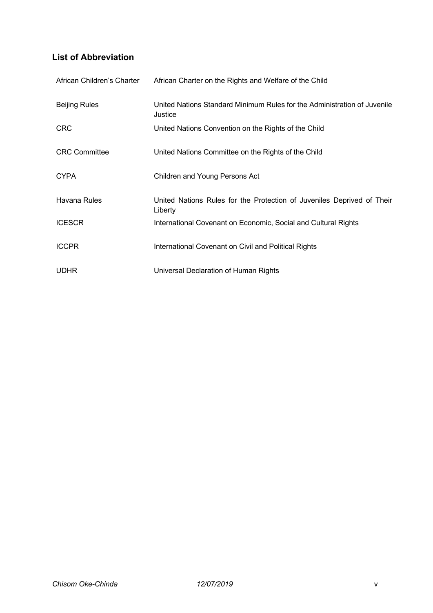# **List of Abbreviation**

| African Children's Charter | African Charter on the Rights and Welfare of the Child                              |
|----------------------------|-------------------------------------------------------------------------------------|
| <b>Beijing Rules</b>       | United Nations Standard Minimum Rules for the Administration of Juvenile<br>Justice |
| <b>CRC</b>                 | United Nations Convention on the Rights of the Child                                |
| <b>CRC Committee</b>       | United Nations Committee on the Rights of the Child                                 |
| <b>CYPA</b>                | Children and Young Persons Act                                                      |
| Havana Rules               | United Nations Rules for the Protection of Juveniles Deprived of Their<br>Liberty   |
| <b>ICESCR</b>              | International Covenant on Economic, Social and Cultural Rights                      |
| <b>ICCPR</b>               | International Covenant on Civil and Political Rights                                |
| <b>UDHR</b>                | Universal Declaration of Human Rights                                               |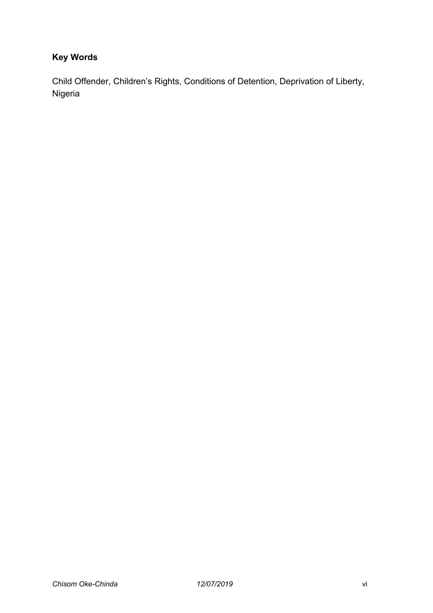# **Key Words**

Child Offender, Children's Rights, Conditions of Detention, Deprivation of Liberty, Nigeria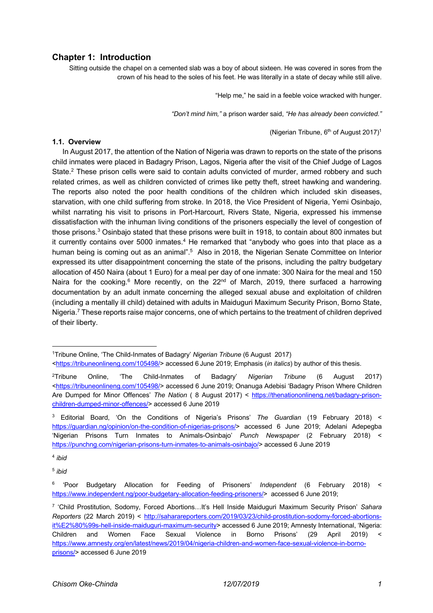## **Chapter 1: Introduction**

Sitting outside the chapel on a cemented slab was a boy of about sixteen. He was covered in sores from the crown of his head to the soles of his feet. He was literally in a state of decay while still alive.

"Help me," he said in a feeble voice wracked with hunger.

*"Don't mind him,"* a prison warder said, *"He has already been convicted."*

(Nigerian Tribune, 6th of August 2017)1

#### **1.1. Overview**

In August 2017, the attention of the Nation of Nigeria was drawn to reports on the state of the prisons child inmates were placed in Badagry Prison, Lagos, Nigeria after the visit of the Chief Judge of Lagos State.<sup>2</sup> These prison cells were said to contain adults convicted of murder, armed robbery and such related crimes, as well as children convicted of crimes like petty theft, street hawking and wandering. The reports also noted the poor health conditions of the children which included skin diseases, starvation, with one child suffering from stroke. In 2018, the Vice President of Nigeria, Yemi Osinbajo, whilst narrating his visit to prisons in Port-Harcourt, Rivers State, Nigeria, expressed his immense dissatisfaction with the inhuman living conditions of the prisoners especially the level of congestion of those prisons.<sup>3</sup> Osinbajo stated that these prisons were built in 1918, to contain about 800 inmates but it currently contains over  $5000$  inmates.<sup>4</sup> He remarked that "anybody who goes into that place as a human being is coming out as an animal".<sup>5</sup> Also in 2018, the Nigerian Senate Committee on Interior expressed its utter disappointment concerning the state of the prisons, including the paltry budgetary allocation of 450 Naira (about 1 Euro) for a meal per day of one inmate: 300 Naira for the meal and 150 Naira for the cooking.<sup>6</sup> More recently, on the 22<sup>nd</sup> of March, 2019, there surfaced a harrowing documentation by an adult inmate concerning the alleged sexual abuse and exploitation of children (including a mentally ill child) detained with adults in Maiduguri Maximum Security Prison, Borno State, Nigeria.<sup>7</sup> These reports raise major concerns, one of which pertains to the treatment of children deprived of their liberty.

<sup>5</sup> *ibid*

<sup>1</sup>Tribune Online, 'The Child-Inmates of Badagry' *Nigerian Tribune* (6 August 2017) <https://tribuneonlineng.com/105498/> accessed 6 June 2019; Emphasis (*in italics*) by author of this thesis.

<sup>2</sup>Tribune Online, 'The Child-Inmates of Badagry' *Nigerian Tribune* (6 August 2017) <https://tribuneonlineng.com/105498/> accessed 6 June 2019; Onanuga Adebisi 'Badagry Prison Where Children Are Dumped for Minor Offences' *The Nation* ( 8 August 2017) < https://thenationonlineng.net/badagry-prisonchildren-dumped-minor-offences/> accessed 6 June 2019

<sup>3</sup> Editorial Board, 'On the Conditions of Nigeria's Prisons' *The Guardian* (19 February 2018) < https://guardian.ng/opinion/on-the-condition-of-nigerias-prisons/> accessed 6 June 2019; Adelani Adepegba 'Nigerian Prisons Turn Inmates to Animals-Osinbajo' *Punch Newspaper* (2 February 2018) < https://punchng.com/nigerian-prisons-turn-inmates-to-animals-osinbajo/> accessed 6 June 2019

<sup>4</sup> *ibid*

<sup>6</sup> 'Poor Budgetary Allocation for Feeding of Prisoners' *Independent* (6 February 2018) < https://www.independent.ng/poor-budgetary-allocation-feeding-prisoners/> accessed 6 June 2019;

<sup>7</sup> 'Child Prostitution, Sodomy, Forced Abortions…It's Hell Inside Maiduguri Maximum Security Prison' *Sahara Reporters* (22 March 2019) < http://saharareporters.com/2019/03/23/child-prostitution-sodomy-forced-abortionsit%E2%80%99s-hell-inside-maiduguri-maximum-security> accessed 6 June 2019; Amnesty International, 'Nigeria: Children and Women Face Sexual Violence in Borno Prisons' (29 April 2019) < https://www.amnesty.org/en/latest/news/2019/04/nigeria-children-and-women-face-sexual-violence-in-bornoprisons/> accessed 6 June 2019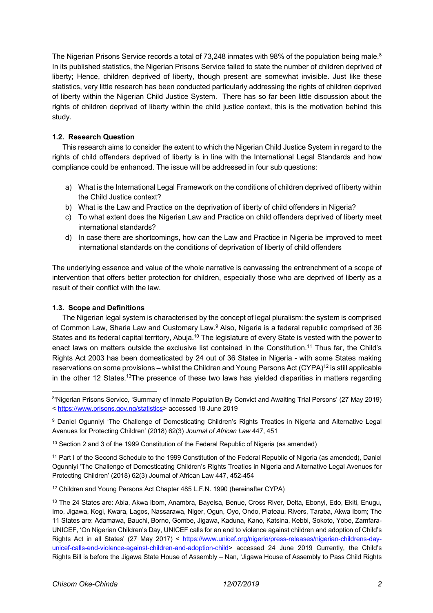The Nigerian Prisons Service records a total of 73,248 inmates with 98% of the population being male. $^8$ In its published statistics, the Nigerian Prisons Service failed to state the number of children deprived of liberty; Hence, children deprived of liberty, though present are somewhat invisible. Just like these statistics, very little research has been conducted particularly addressing the rights of children deprived of liberty within the Nigerian Child Justice System. There has so far been little discussion about the rights of children deprived of liberty within the child justice context, this is the motivation behind this study.

## **1.2. Research Question**

This research aims to consider the extent to which the Nigerian Child Justice System in regard to the rights of child offenders deprived of liberty is in line with the International Legal Standards and how compliance could be enhanced. The issue will be addressed in four sub questions:

- a) What is the International Legal Framework on the conditions of children deprived of liberty within the Child Justice context?
- b) What is the Law and Practice on the deprivation of liberty of child offenders in Nigeria?
- c) To what extent does the Nigerian Law and Practice on child offenders deprived of liberty meet international standards?
- d) In case there are shortcomings, how can the Law and Practice in Nigeria be improved to meet international standards on the conditions of deprivation of liberty of child offenders

The underlying essence and value of the whole narrative is canvassing the entrenchment of a scope of intervention that offers better protection for children, especially those who are deprived of liberty as a result of their conflict with the law.

## **1.3. Scope and Definitions**

The Nigerian legal system is characterised by the concept of legal pluralism: the system is comprised of Common Law, Sharia Law and Customary Law.9 Also, Nigeria is a federal republic comprised of 36 States and its federal capital territory, Abuja.<sup>10</sup> The legislature of every State is vested with the power to enact laws on matters outside the exclusive list contained in the Constitution.<sup>11</sup> Thus far, the Child's Rights Act 2003 has been domesticated by 24 out of 36 States in Nigeria - with some States making reservations on some provisions – whilst the Children and Young Persons Act (CYPA)<sup>12</sup> is still applicable in the other 12 States.<sup>13</sup>The presence of these two laws has yielded disparities in matters regarding

<sup>10</sup> Section 2 and 3 of the 1999 Constitution of the Federal Republic of Nigeria (as amended)

<sup>11</sup> Part I of the Second Schedule to the 1999 Constitution of the Federal Republic of Nigeria (as amended), Daniel Ogunniyi 'The Challenge of Domesticating Children's Rights Treaties in Nigeria and Alternative Legal Avenues for Protecting Children' (2018) 62(3) Journal of African Law 447, 452-454

<sup>12</sup> Children and Young Persons Act Chapter 485 L.F.N. 1990 (hereinafter CYPA)

<sup>8&#</sup>x27;Nigerian Prisons Service, 'Summary of Inmate Population By Convict and Awaiting Trial Persons' (27 May 2019) < https://www.prisons.gov.ng/statistics> accessed 18 June 2019

<sup>9</sup> Daniel Ogunniyi 'The Challenge of Domesticating Children's Rights Treaties in Nigeria and Alternative Legal Avenues for Protecting Children' (2018) 62(3) *Journal of African Law* 447, 451

<sup>13</sup> The 24 States are: Abia, Akwa Ibom, Anambra, Bayelsa, Benue, Cross River, Delta, Ebonyi, Edo, Ekiti, Enugu, Imo, Jigawa, Kogi, Kwara, Lagos, Nassarawa, Niger, Ogun, Oyo, Ondo, Plateau, Rivers, Taraba, Akwa Ibom; The 11 States are: Adamawa, Bauchi, Borno, Gombe, Jigawa, Kaduna, Kano, Katsina, Kebbi, Sokoto, Yobe, Zamfara-UNICEF, 'On Nigerian Children's Day, UNICEF calls for an end to violence against children and adoption of Child's Rights Act in all States' (27 May 2017) < https://www.unicef.org/nigeria/press-releases/nigerian-childrens-dayunicef-calls-end-violence-against-children-and-adoption-child> accessed 24 June 2019 Currently, the Child's Rights Bill is before the Jigawa State House of Assembly – Nan, 'Jigawa House of Assembly to Pass Child Rights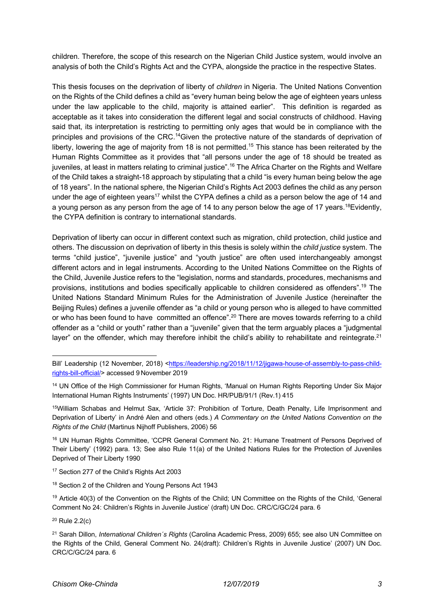children. Therefore, the scope of this research on the Nigerian Child Justice system, would involve an analysis of both the Child's Rights Act and the CYPA, alongside the practice in the respective States.

This thesis focuses on the deprivation of liberty of *children* in Nigeria. The United Nations Convention on the Rights of the Child defines a child as "every human being below the age of eighteen years unless under the law applicable to the child, majority is attained earlier". This definition is regarded as acceptable as it takes into consideration the different legal and social constructs of childhood. Having said that, its interpretation is restricting to permitting only ages that would be in compliance with the principles and provisions of the CRC.14Given the protective nature of the standards of deprivation of liberty, lowering the age of majority from 18 is not permitted.<sup>15</sup> This stance has been reiterated by the Human Rights Committee as it provides that "all persons under the age of 18 should be treated as juveniles, at least in matters relating to criminal justice".<sup>16</sup> The Africa Charter on the Rights and Welfare of the Child takes a straight-18 approach by stipulating that a child "is every human being below the age of 18 years". In the national sphere, the Nigerian Child's Rights Act 2003 defines the child as any person under the age of eighteen years<sup>17</sup> whilst the CYPA defines a child as a person below the age of 14 and a young person as any person from the age of 14 to any person below the age of 17 years.<sup>18</sup>Evidently, the CYPA definition is contrary to international standards.

Deprivation of liberty can occur in different context such as migration, child protection, child justice and others. The discussion on deprivation of liberty in this thesis is solely within the *child justice* system. The terms "child justice", "juvenile justice" and "youth justice" are often used interchangeably amongst different actors and in legal instruments. According to the United Nations Committee on the Rights of the Child, Juvenile Justice refers to the "legislation, norms and standards, procedures, mechanisms and provisions, institutions and bodies specifically applicable to children considered as offenders".19 The United Nations Standard Minimum Rules for the Administration of Juvenile Justice (hereinafter the Beijing Rules) defines a juvenile offender as "a child or young person who is alleged to have committed or who has been found to have committed an offence".<sup>20</sup> There are moves towards referring to a child offender as a "child or youth" rather than a "juvenile" given that the term arguably places a "judgmental layer" on the offender, which may therefore inhibit the child's ability to rehabilitate and reintegrate.<sup>21</sup>

15William Schabas and Helmut Sax, 'Article 37: Prohibition of Torture, Death Penalty, Life Imprisonment and Deprivation of Liberty' in André Alen and others (eds.) *A Commentary on the United Nations Convention on the Rights of the Child* (Martinus Nijhoff Publishers, 2006) 56

<sup>16</sup> UN Human Rights Committee, 'CCPR General Comment No. 21: Humane Treatment of Persons Deprived of Their Liberty' (1992) para. 13; See also Rule 11(a) of the United Nations Rules for the Protection of Juveniles Deprived of Their Liberty 1990

<sup>17</sup> Section 277 of the Child's Rights Act 2003

<sup>19</sup> Article 40(3) of the Convention on the Rights of the Child; UN Committee on the Rights of the Child, 'General Comment No 24: Children's Rights in Juvenile Justice' (draft) UN Doc. CRC/C/GC/24 para. 6

 $20$  Rule 2.2(c)

Bill' Leadership (12 November, 2018) <https://leadership.ng/2018/11/12/jigawa-house-of-assembly-to-pass-childrights-bill-official/> accessed 9 November 2019

<sup>14</sup> UN Office of the High Commissioner for Human Rights, 'Manual on Human Rights Reporting Under Six Major International Human Rights Instruments' (1997) UN Doc. HR/PUB/91/1 (Rev.1) 415

<sup>18</sup> Section 2 of the Children and Young Persons Act 1943

<sup>21</sup> Sarah Dillon, *International Children´s Rights* (Carolina Academic Press, 2009) 655; see also UN Committee on the Rights of the Child, General Comment No. 24(draft): Children's Rights in Juvenile Justice' (2007) UN Doc. CRC/C/GC/24 para. 6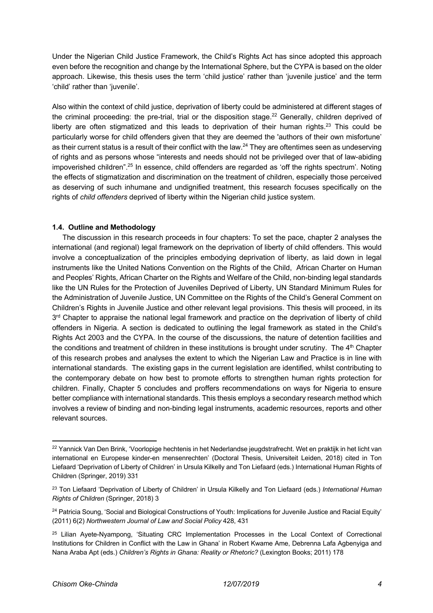Under the Nigerian Child Justice Framework, the Child's Rights Act has since adopted this approach even before the recognition and change by the International Sphere, but the CYPA is based on the older approach. Likewise, this thesis uses the term 'child justice' rather than 'juvenile justice' and the term 'child' rather than 'juvenile'.

Also within the context of child justice, deprivation of liberty could be administered at different stages of the criminal proceeding: the pre-trial, trial or the disposition stage.<sup>22</sup> Generally, children deprived of liberty are often stigmatized and this leads to deprivation of their human rights.<sup>23</sup> This could be particularly worse for child offenders given that they are deemed the 'authors of their own misfortune' as their current status is a result of their conflict with the law.<sup>24</sup> They are oftentimes seen as undeserving of rights and as persons whose "interests and needs should not be privileged over that of law-abiding impoverished children".<sup>25</sup> In essence, child offenders are regarded as 'off the rights spectrum'. Noting the effects of stigmatization and discrimination on the treatment of children, especially those perceived as deserving of such inhumane and undignified treatment, this research focuses specifically on the rights of *child offenders* deprived of liberty within the Nigerian child justice system.

## **1.4. Outline and Methodology**

The discussion in this research proceeds in four chapters: To set the pace, chapter 2 analyses the international (and regional) legal framework on the deprivation of liberty of child offenders. This would involve a conceptualization of the principles embodying deprivation of liberty, as laid down in legal instruments like the United Nations Convention on the Rights of the Child, African Charter on Human and Peoples' Rights, African Charter on the Rights and Welfare of the Child, non-binding legal standards like the UN Rules for the Protection of Juveniles Deprived of Liberty, UN Standard Minimum Rules for the Administration of Juvenile Justice, UN Committee on the Rights of the Child's General Comment on Children's Rights in Juvenile Justice and other relevant legal provisions. This thesis will proceed, in its 3<sup>rd</sup> Chapter to appraise the national legal framework and practice on the deprivation of liberty of child offenders in Nigeria. A section is dedicated to outlining the legal framework as stated in the Child's Rights Act 2003 and the CYPA. In the course of the discussions, the nature of detention facilities and the conditions and treatment of children in these institutions is brought under scrutiny. The  $4<sup>th</sup>$  Chapter of this research probes and analyses the extent to which the Nigerian Law and Practice is in line with international standards. The existing gaps in the current legislation are identified, whilst contributing to the contemporary debate on how best to promote efforts to strengthen human rights protection for children. Finally, Chapter 5 concludes and proffers recommendations on ways for Nigeria to ensure better compliance with international standards. This thesis employs a secondary research method which involves a review of binding and non-binding legal instruments, academic resources, reports and other relevant sources.

<sup>&</sup>lt;sup>22</sup> Yannick Van Den Brink, 'Voorlopige hechtenis in het Nederlandse jeugdstrafrecht. Wet en praktijk in het licht van international en Europese kinder-en mensenrechten' (Doctoral Thesis, Universiteit Leiden, 2018) cited in Ton Liefaard 'Deprivation of Liberty of Children' in Ursula Kilkelly and Ton Liefaard (eds.) International Human Rights of Children (Springer, 2019) 331

<sup>23</sup> Ton Liefaard 'Deprivation of Liberty of Children' in Ursula Kilkelly and Ton Liefaard (eds.) *International Human Rights of Children* (Springer, 2018) 3

<sup>&</sup>lt;sup>24</sup> Patricia Soung, 'Social and Biological Constructions of Youth: Implications for Juvenile Justice and Racial Equity' (2011) 6(2) *Northwestern Journal of Law and Social Policy* 428, 431

<sup>&</sup>lt;sup>25</sup> Lilian Ayete-Nyampong, 'Situating CRC Implementation Processes in the Local Context of Correctional Institutions for Children in Conflict with the Law in Ghana' in Robert Kwame Ame, Debrenna Lafa Agbenyiga and Nana Araba Apt (eds.) *Children's Rights in Ghana: Reality or Rhetoric?* (Lexington Books; 2011) 178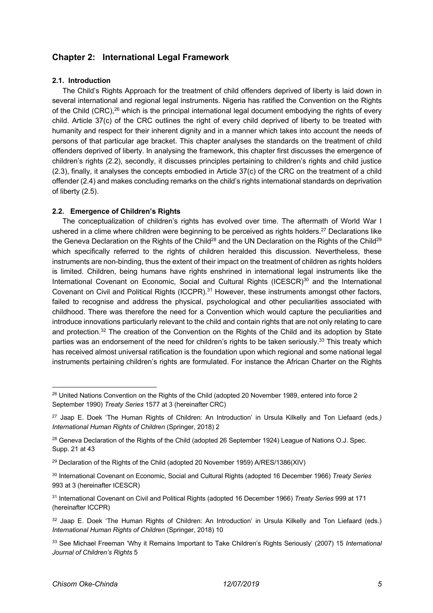# **Chapter 2: International Legal Framework**

#### **2.1. Introduction**

The Child's Rights Approach for the treatment of child offenders deprived of liberty is laid down in several international and regional legal instruments. Nigeria has ratified the Convention on the Rights of the Child (CRC),<sup>26</sup> which is the principal international legal document embodying the rights of every child. Article 37(c) of the CRC outlines the right of every child deprived of liberty to be treated with humanity and respect for their inherent dignity and in a manner which takes into account the needs of persons of that particular age bracket. This chapter analyses the standards on the treatment of child offenders deprived of liberty. In analysing the framework, this chapter first discusses the emergence of children's rights (2.2), secondly, it discusses principles pertaining to children's rights and child justice (2.3), finally, it analyses the concepts embodied in Article 37(c) of the CRC on the treatment of a child offender (2.4) and makes concluding remarks on the child's rights international standards on deprivation of liberty (2.5).

## **2.2. Emergence of Children's Rights**

The conceptualization of children's rights has evolved over time. The aftermath of World War I ushered in a clime where children were beginning to be perceived as rights holders.<sup>27</sup> Declarations like the Geneva Declaration on the Rights of the Child<sup>28</sup> and the UN Declaration on the Rights of the Child<sup>29</sup> which specifically referred to the rights of children heralded this discussion. Nevertheless, these instruments are non-binding, thus the extent of their impact on the treatment of children as rights holders is limited. Children, being humans have rights enshrined in international legal instruments like the International Covenant on Economic, Social and Cultural Rights (ICESCR)<sup>30</sup> and the International Covenant on Civil and Political Rights (ICCPR).<sup>31</sup> However, these instruments amongst other factors, failed to recognise and address the physical, psychological and other peculiarities associated with childhood. There was therefore the need for a Convention which would capture the peculiarities and introduce innovations particularly relevant to the child and contain rights that are not only relating to care and protection.<sup>32</sup> The creation of the Convention on the Rights of the Child and its adoption by State parties was an endorsement of the need for children's rights to be taken seriously.<sup>33</sup> This treaty which has received almost universal ratification is the foundation upon which regional and some national legal instruments pertaining children's rights are formulated. For instance the African Charter on the Rights

<sup>&</sup>lt;sup>26</sup> United Nations Convention on the Rights of the Child (adopted 20 November 1989, entered into force 2 September 1990) *Treaty Series* 1577 at 3 (hereinafter CRC)

<sup>27</sup> Jaap E. Doek 'The Human Rights of Children: An Introduction' in Ursula Kilkelly and Ton Liefaard (eds*.) International Human Rights of Children* (Springer, 2018) 2

<sup>&</sup>lt;sup>28</sup> Geneva Declaration of the Rights of the Child (adopted 26 September 1924) League of Nations O.J. Spec. Supp. 21 at 43

 $29$  Declaration of the Rights of the Child (adopted 20 November 1959) A/RES/1386(XIV)

<sup>30</sup> International Covenant on Economic, Social and Cultural Rights (adopted 16 December 1966) *Treaty Series* 993 at 3 (hereinafter ICESCR)

<sup>31</sup> International Covenant on Civil and Political Rights (adopted 16 December 1966) *Treaty Series* 999 at 171 (hereinafter ICCPR)

<sup>&</sup>lt;sup>32</sup> Jaap E. Doek 'The Human Rights of Children: An Introduction' in Ursula Kilkelly and Ton Liefaard (eds.) *International Human Rights of Children* (Springer, 2018) 10

<sup>33</sup> See Michael Freeman 'Why it Remains Important to Take Children's Rights Seriously' (2007) 15 *International Journal of Children's Rights* 5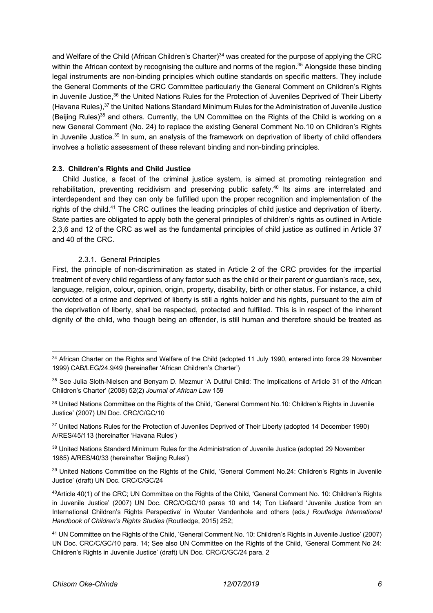and Welfare of the Child (African Children's Charter)<sup>34</sup> was created for the purpose of applying the CRC within the African context by recognising the culture and norms of the region.<sup>35</sup> Alongside these binding legal instruments are non-binding principles which outline standards on specific matters. They include the General Comments of the CRC Committee particularly the General Comment on Children's Rights in Juvenile Justice,<sup>36</sup> the United Nations Rules for the Protection of Juveniles Deprived of Their Liberty (Havana Rules), <sup>37</sup> the United Nations Standard Minimum Rules for the Administration of Juvenile Justice (Beijing Rules)<sup>38</sup> and others. Currently, the UN Committee on the Rights of the Child is working on a new General Comment (No. 24) to replace the existing General Comment No.10 on Children's Rights in Juvenile Justice.<sup>39</sup> In sum, an analysis of the framework on deprivation of liberty of child offenders involves a holistic assessment of these relevant binding and non-binding principles.

#### **2.3. Children's Rights and Child Justice**

Child Justice, a facet of the criminal justice system, is aimed at promoting reintegration and rehabilitation, preventing recidivism and preserving public safety.<sup>40</sup> Its aims are interrelated and interdependent and they can only be fulfilled upon the proper recognition and implementation of the rights of the child.<sup>41</sup> The CRC outlines the leading principles of child justice and deprivation of liberty. State parties are obligated to apply both the general principles of children's rights as outlined in Article 2,3,6 and 12 of the CRC as well as the fundamental principles of child justice as outlined in Article 37 and 40 of the CRC.

## 2.3.1. General Principles

First, the principle of non-discrimination as stated in Article 2 of the CRC provides for the impartial treatment of every child regardless of any factor such as the child or their parent or guardian's race, sex, language, religion, colour, opinion, origin, property, disability, birth or other status. For instance, a child convicted of a crime and deprived of liberty is still a rights holder and his rights, pursuant to the aim of the deprivation of liberty, shall be respected, protected and fulfilled. This is in respect of the inherent dignity of the child, who though being an offender, is still human and therefore should be treated as

<sup>&</sup>lt;sup>34</sup> African Charter on the Rights and Welfare of the Child (adopted 11 July 1990, entered into force 29 November 1999) CAB/LEG/24.9/49 (hereinafter 'African Children's Charter')

<sup>&</sup>lt;sup>35</sup> See Julia Sloth-Nielsen and Benyam D. Mezmur 'A Dutiful Child: The Implications of Article 31 of the African Children's Charter' (2008) 52(2) *Journal of African Law* 159

<sup>36</sup> United Nations Committee on the Rights of the Child, 'General Comment No.10: Children's Rights in Juvenile Justice' (2007) UN Doc. CRC/C/GC/10

<sup>&</sup>lt;sup>37</sup> United Nations Rules for the Protection of Juveniles Deprived of Their Liberty (adopted 14 December 1990) A/RES/45/113 (hereinafter 'Havana Rules')

<sup>&</sup>lt;sup>38</sup> United Nations Standard Minimum Rules for the Administration of Juvenile Justice (adopted 29 November 1985) A/RES/40/33 (hereinafter 'Beijing Rules')

<sup>&</sup>lt;sup>39</sup> United Nations Committee on the Rights of the Child, 'General Comment No.24: Children's Rights in Juvenile Justice' (draft) UN Doc. CRC/C/GC/24

<sup>40</sup>Article 40(1) of the CRC; UN Committee on the Rights of the Child, 'General Comment No. 10: Children's Rights in Juvenile Justice' (2007) UN Doc. CRC/C/GC/10 paras 10 and 14; Ton Liefaard 'Juvenile Justice from an International Children's Rights Perspective' in Wouter Vandenhole and others (eds*.) Routledge International Handbook of Children's Rights Studies* (Routledge, 2015) 252;

<sup>41</sup> UN Committee on the Rights of the Child, 'General Comment No. 10: Children's Rights in Juvenile Justice' (2007) UN Doc. CRC/C/GC/10 para. 14; See also UN Committee on the Rights of the Child, 'General Comment No 24: Children's Rights in Juvenile Justice' (draft) UN Doc. CRC/C/GC/24 para. 2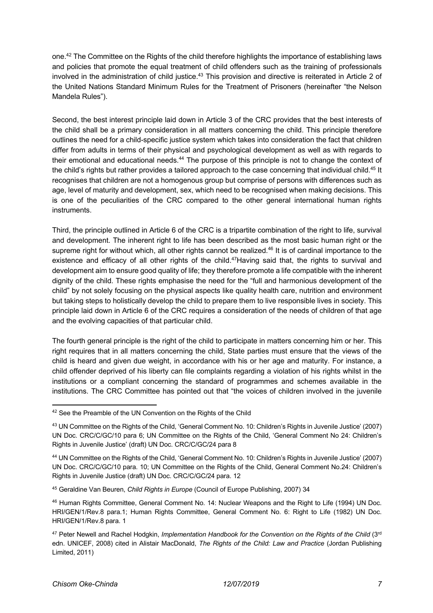one.42 The Committee on the Rights of the child therefore highlights the importance of establishing laws and policies that promote the equal treatment of child offenders such as the training of professionals involved in the administration of child justice.<sup>43</sup> This provision and directive is reiterated in Article 2 of the United Nations Standard Minimum Rules for the Treatment of Prisoners (hereinafter "the Nelson Mandela Rules").

Second, the best interest principle laid down in Article 3 of the CRC provides that the best interests of the child shall be a primary consideration in all matters concerning the child. This principle therefore outlines the need for a child-specific justice system which takes into consideration the fact that children differ from adults in terms of their physical and psychological development as well as with regards to their emotional and educational needs.<sup>44</sup> The purpose of this principle is not to change the context of the child's rights but rather provides a tailored approach to the case concerning that individual child.<sup>45</sup> It recognises that children are not a homogenous group but comprise of persons with differences such as age, level of maturity and development, sex, which need to be recognised when making decisions. This is one of the peculiarities of the CRC compared to the other general international human rights instruments.

Third, the principle outlined in Article 6 of the CRC is a tripartite combination of the right to life, survival and development. The inherent right to life has been described as the most basic human right or the supreme right for without which, all other rights cannot be realized.<sup>46</sup> It is of cardinal importance to the existence and efficacy of all other rights of the child.<sup>47</sup>Having said that, the rights to survival and development aim to ensure good quality of life; they therefore promote a life compatible with the inherent dignity of the child. These rights emphasise the need for the "full and harmonious development of the child" by not solely focusing on the physical aspects like quality health care, nutrition and environment but taking steps to holistically develop the child to prepare them to live responsible lives in society. This principle laid down in Article 6 of the CRC requires a consideration of the needs of children of that age and the evolving capacities of that particular child.

The fourth general principle is the right of the child to participate in matters concerning him or her. This right requires that in all matters concerning the child, State parties must ensure that the views of the child is heard and given due weight, in accordance with his or her age and maturity. For instance, a child offender deprived of his liberty can file complaints regarding a violation of his rights whilst in the institutions or a compliant concerning the standard of programmes and schemes available in the institutions. The CRC Committee has pointed out that "the voices of children involved in the juvenile

<sup>&</sup>lt;sup>42</sup> See the Preamble of the UN Convention on the Rights of the Child

<sup>43</sup> UN Committee on the Rights of the Child, 'General Comment No. 10: Children's Rights in Juvenile Justice' (2007) UN Doc. CRC/C/GC/10 para 6; UN Committee on the Rights of the Child, 'General Comment No 24: Children's Rights in Juvenile Justice' (draft) UN Doc. CRC/C/GC/24 para 8

<sup>44</sup> UN Committee on the Rights of the Child, 'General Comment No. 10: Children's Rights in Juvenile Justice' (2007) UN Doc. CRC/C/GC/10 para. 10; UN Committee on the Rights of the Child, General Comment No.24: Children's Rights in Juvenile Justice (draft) UN Doc. CRC/C/GC/24 para. 12

<sup>45</sup> Geraldine Van Beuren, *Child Rights in Europe* (Council of Europe Publishing, 2007) 34

<sup>46</sup> Human Rights Committee, General Comment No. 14: Nuclear Weapons and the Right to Life (1994) UN Doc. HRI/GEN/1/Rev.8 para.1; Human Rights Committee, General Comment No. 6: Right to Life (1982) UN Doc. HRI/GEN/1/Rev.8 para. 1

<sup>&</sup>lt;sup>47</sup> Peter Newell and Rachel Hodgkin, *Implementation Handbook for the Convention on the Rights of the Child* (3<sup>rd</sup> edn. UNICEF, 2008) cited in Alistair MacDonald, *The Rights of the Child: Law and Practice* (Jordan Publishing Limited, 2011)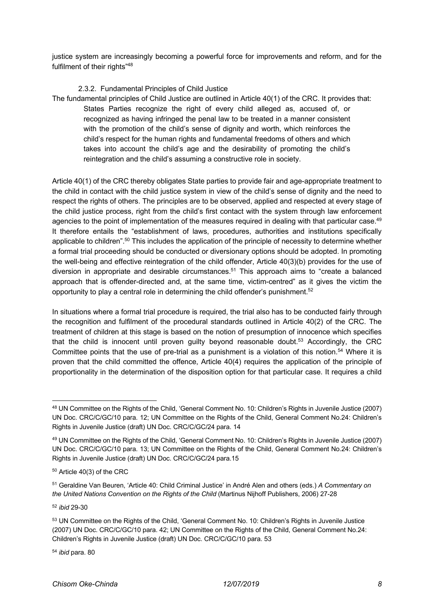justice system are increasingly becoming a powerful force for improvements and reform, and for the fulfilment of their rights"<sup>48</sup>

2.3.2. Fundamental Principles of Child Justice

The fundamental principles of Child Justice are outlined in Article 40(1) of the CRC. It provides that: States Parties recognize the right of every child alleged as, accused of, or recognized as having infringed the penal law to be treated in a manner consistent with the promotion of the child's sense of dignity and worth, which reinforces the child's respect for the human rights and fundamental freedoms of others and which takes into account the child's age and the desirability of promoting the child's reintegration and the child's assuming a constructive role in society.

Article 40(1) of the CRC thereby obligates State parties to provide fair and age-appropriate treatment to the child in contact with the child justice system in view of the child's sense of dignity and the need to respect the rights of others. The principles are to be observed, applied and respected at every stage of the child justice process, right from the child's first contact with the system through law enforcement agencies to the point of implementation of the measures required in dealing with that particular case.<sup>49</sup> It therefore entails the "establishment of laws, procedures, authorities and institutions specifically applicable to children".50 This includes the application of the principle of necessity to determine whether a formal trial proceeding should be conducted or diversionary options should be adopted. In promoting the well-being and effective reintegration of the child offender, Article 40(3)(b) provides for the use of diversion in appropriate and desirable circumstances.<sup>51</sup> This approach aims to "create a balanced" approach that is offender-directed and, at the same time, victim-centred" as it gives the victim the opportunity to play a central role in determining the child offender's punishment.<sup>52</sup>

In situations where a formal trial procedure is required, the trial also has to be conducted fairly through the recognition and fulfilment of the procedural standards outlined in Article 40(2) of the CRC. The treatment of children at this stage is based on the notion of presumption of innocence which specifies that the child is innocent until proven guilty beyond reasonable doubt.<sup>53</sup> Accordingly, the CRC Committee points that the use of pre-trial as a punishment is a violation of this notion.<sup>54</sup> Where it is proven that the child committed the offence, Article 40(4) requires the application of the principle of proportionality in the determination of the disposition option for that particular case. It requires a child

<sup>52</sup> *ibid* 29-30

<sup>54</sup> *ibid* para. 80

<sup>48</sup> UN Committee on the Rights of the Child, 'General Comment No. 10: Children's Rights in Juvenile Justice (2007) UN Doc. CRC/C/GC/10 para. 12; UN Committee on the Rights of the Child, General Comment No.24: Children's Rights in Juvenile Justice (draft) UN Doc. CRC/C/GC/24 para. 14

<sup>49</sup> UN Committee on the Rights of the Child, 'General Comment No. 10: Children's Rights in Juvenile Justice (2007) UN Doc. CRC/C/GC/10 para. 13; UN Committee on the Rights of the Child, General Comment No.24: Children's Rights in Juvenile Justice (draft) UN Doc. CRC/C/GC/24 para.15

<sup>50</sup> Article 40(3) of the CRC

<sup>51</sup> Geraldine Van Beuren, 'Article 40: Child Criminal Justice' in André Alen and others (eds.) *A Commentary on the United Nations Convention on the Rights of the Child* (Martinus Nijhoff Publishers, 2006) 27-28

<sup>53</sup> UN Committee on the Rights of the Child, 'General Comment No. 10: Children's Rights in Juvenile Justice (2007) UN Doc. CRC/C/GC/10 para. 42; UN Committee on the Rights of the Child, General Comment No.24: Children's Rights in Juvenile Justice (draft) UN Doc. CRC/C/GC/10 para. 53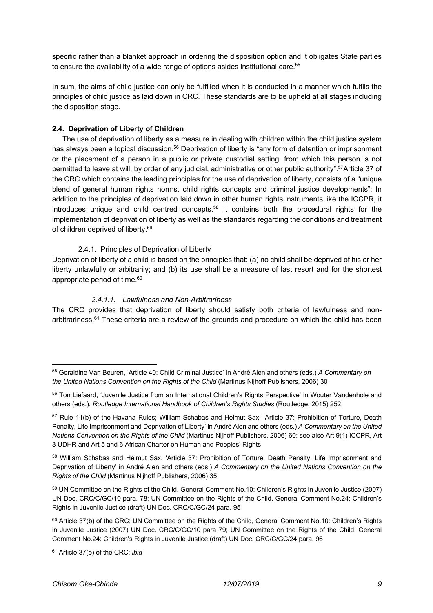specific rather than a blanket approach in ordering the disposition option and it obligates State parties to ensure the availability of a wide range of options asides institutional care.<sup>55</sup>

In sum, the aims of child justice can only be fulfilled when it is conducted in a manner which fulfils the principles of child justice as laid down in CRC. These standards are to be upheld at all stages including the disposition stage.

#### **2.4. Deprivation of Liberty of Children**

The use of deprivation of liberty as a measure in dealing with children within the child justice system has always been a topical discussion.<sup>56</sup> Deprivation of liberty is "any form of detention or imprisonment or the placement of a person in a public or private custodial setting, from which this person is not permitted to leave at will, by order of any judicial, administrative or other public authority".<sup>57</sup>Article 37 of the CRC which contains the leading principles for the use of deprivation of liberty, consists of a "unique blend of general human rights norms, child rights concepts and criminal justice developments"; In addition to the principles of deprivation laid down in other human rights instruments like the ICCPR, it introduces unique and child centred concepts.<sup>58</sup> It contains both the procedural rights for the implementation of deprivation of liberty as well as the standards regarding the conditions and treatment of children deprived of liberty.59

## 2.4.1. Principles of Deprivation of Liberty

Deprivation of liberty of a child is based on the principles that: (a) no child shall be deprived of his or her liberty unlawfully or arbitrarily; and (b) its use shall be a measure of last resort and for the shortest appropriate period of time.<sup>60</sup>

## *2.4.1.1. Lawfulness and Non-Arbitrariness*

The CRC provides that deprivation of liberty should satisfy both criteria of lawfulness and nonarbitrariness.<sup>61</sup> These criteria are a review of the grounds and procedure on which the child has been

<sup>55</sup> Geraldine Van Beuren, 'Article 40: Child Criminal Justice' in André Alen and others (eds.) *A Commentary on the United Nations Convention on the Rights of the Child* (Martinus Nijhoff Publishers, 2006) 30

<sup>56</sup> Ton Liefaard, 'Juvenile Justice from an International Children's Rights Perspective' in Wouter Vandenhole and others (eds.), *Routledge International Handbook of Children's Rights Studies* (Routledge, 2015) 252

<sup>57</sup> Rule 11(b) of the Havana Rules; William Schabas and Helmut Sax, 'Article 37: Prohibition of Torture, Death Penalty, Life Imprisonment and Deprivation of Liberty' in André Alen and others (eds.) *A Commentary on the United Nations Convention on the Rights of the Child* (Martinus Nijhoff Publishers, 2006) 60; see also Art 9(1) ICCPR, Art 3 UDHR and Art 5 and 6 African Charter on Human and Peoples' Rights

<sup>58</sup> William Schabas and Helmut Sax, 'Article 37: Prohibition of Torture, Death Penalty, Life Imprisonment and Deprivation of Liberty' in André Alen and others (eds.) *A Commentary on the United Nations Convention on the Rights of the Child* (Martinus Nijhoff Publishers, 2006) 35

<sup>59</sup> UN Committee on the Rights of the Child, General Comment No.10: Children's Rights in Juvenile Justice (2007) UN Doc. CRC/C/GC/10 para. 78; UN Committee on the Rights of the Child, General Comment No.24: Children's Rights in Juvenile Justice (draft) UN Doc. CRC/C/GC/24 para. 95

<sup>&</sup>lt;sup>60</sup> Article 37(b) of the CRC; UN Committee on the Rights of the Child, General Comment No.10: Children's Rights in Juvenile Justice (2007) UN Doc. CRC/C/GC/10 para 79; UN Committee on the Rights of the Child, General Comment No.24: Children's Rights in Juvenile Justice (draft) UN Doc. CRC/C/GC/24 para. 96

<sup>61</sup> Article 37(b) of the CRC; *ibid*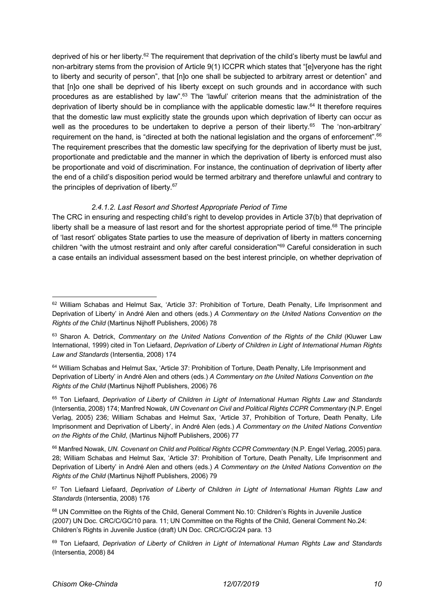deprived of his or her liberty.<sup>62</sup> The requirement that deprivation of the child's liberty must be lawful and non-arbitrary stems from the provision of Article 9(1) ICCPR which states that "[e]veryone has the right to liberty and security of person", that [n]o one shall be subjected to arbitrary arrest or detention" and that [n]o one shall be deprived of his liberty except on such grounds and in accordance with such procedures as are established by law".<sup>63</sup> The 'lawful' criterion means that the administration of the deprivation of liberty should be in compliance with the applicable domestic law.<sup>64</sup> It therefore requires that the domestic law must explicitly state the grounds upon which deprivation of liberty can occur as well as the procedures to be undertaken to deprive a person of their liberty.<sup>65</sup> The 'non-arbitrary' requirement on the hand, is "directed at both the national legislation and the organs of enforcement".<sup>66</sup> The requirement prescribes that the domestic law specifying for the deprivation of liberty must be just, proportionate and predictable and the manner in which the deprivation of liberty is enforced must also be proportionate and void of discrimination. For instance, the continuation of deprivation of liberty after the end of a child's disposition period would be termed arbitrary and therefore unlawful and contrary to the principles of deprivation of liberty.<sup>67</sup>

## *2.4.1.2. Last Resort and Shortest Appropriate Period of Time*

The CRC in ensuring and respecting child's right to develop provides in Article 37(b) that deprivation of liberty shall be a measure of last resort and for the shortest appropriate period of time.<sup>68</sup> The principle of 'last resort' obligates State parties to use the measure of deprivation of liberty in matters concerning children "with the utmost restraint and only after careful consideration"69 Careful consideration in such a case entails an individual assessment based on the best interest principle, on whether deprivation of

<sup>&</sup>lt;sup>62</sup> William Schabas and Helmut Sax, 'Article 37: Prohibition of Torture, Death Penalty, Life Imprisonment and Deprivation of Liberty' in André Alen and others (eds.) *A Commentary on the United Nations Convention on the Rights of the Child* (Martinus Nijhoff Publishers, 2006) 78

<sup>63</sup> Sharon A. Detrick, *Commentary on the United Nations Convention of the Rights of the Child* (Kluwer Law International, 1999) cited in Ton Liefaard, *Deprivation of Liberty of Children in Light of International Human Rights Law and Standards* (Intersentia, 2008) 174

<sup>&</sup>lt;sup>64</sup> William Schabas and Helmut Sax, 'Article 37: Prohibition of Torture, Death Penalty, Life Imprisonment and Deprivation of Liberty' in André Alen and others (eds.) *A Commentary on the United Nations Convention on the Rights of the Child* (Martinus Nijhoff Publishers, 2006) 76

<sup>65</sup> Ton Liefaard, *Deprivation of Liberty of Children in Light of International Human Rights Law and Standards* (Intersentia, 2008) 174; Manfred Nowak, *UN Covenant on Civil and Political Rights CCPR Commentary* (N.P. Engel Verlag, 2005) 236; William Schabas and Helmut Sax, 'Article 37, Prohibition of Torture, Death Penalty, Life Imprisonment and Deprivation of Liberty', in André Alen (eds.) *A Commentary on the United Nations Convention on the Rights of the Child*, (Martinus Nijhoff Publishers, 2006) 77

<sup>66</sup> Manfred Nowak, *UN. Covenant on Child and Political Rights CCPR Commentary* (N.P. Engel Verlag, 2005) para. 28; William Schabas and Helmut Sax, 'Article 37: Prohibition of Torture, Death Penalty, Life Imprisonment and Deprivation of Liberty' in André Alen and others (eds.) *A Commentary on the United Nations Convention on the Rights of the Child* (Martinus Nijhoff Publishers, 2006) 79

<sup>67</sup> Ton Liefaard Liefaard, *Deprivation of Liberty of Children in Light of International Human Rights Law and Standards* (Intersentia, 2008) 176

<sup>68</sup> UN Committee on the Rights of the Child, General Comment No.10: Children's Rights in Juvenile Justice (2007) UN Doc. CRC/C/GC/10 para. 11; UN Committee on the Rights of the Child, General Comment No.24: Children's Rights in Juvenile Justice (draft) UN Doc. CRC/C/GC/24 para. 13

<sup>69</sup> Ton Liefaard, *Deprivation of Liberty of Children in Light of International Human Rights Law and Standards* (Intersentia, 2008) 84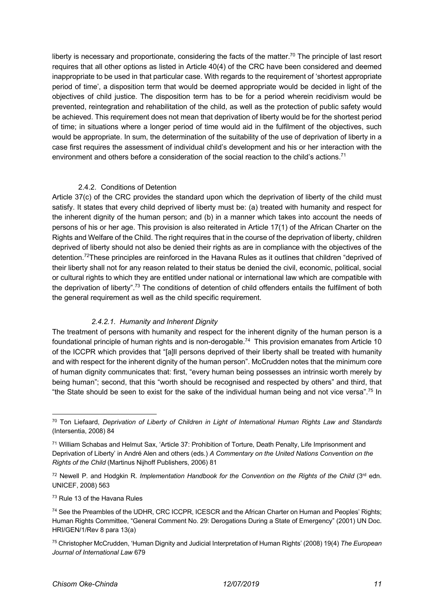liberty is necessary and proportionate, considering the facts of the matter.<sup>70</sup> The principle of last resort requires that all other options as listed in Article 40(4) of the CRC have been considered and deemed inappropriate to be used in that particular case. With regards to the requirement of 'shortest appropriate period of time', a disposition term that would be deemed appropriate would be decided in light of the objectives of child justice. The disposition term has to be for a period wherein recidivism would be prevented, reintegration and rehabilitation of the child, as well as the protection of public safety would be achieved. This requirement does not mean that deprivation of liberty would be for the shortest period of time; in situations where a longer period of time would aid in the fulfilment of the objectives, such would be appropriate. In sum, the determination of the suitability of the use of deprivation of liberty in a case first requires the assessment of individual child's development and his or her interaction with the environment and others before a consideration of the social reaction to the child's actions.<sup>71</sup>

#### 2.4.2. Conditions of Detention

Article 37(c) of the CRC provides the standard upon which the deprivation of liberty of the child must satisfy. It states that every child deprived of liberty must be: (a) treated with humanity and respect for the inherent dignity of the human person; and (b) in a manner which takes into account the needs of persons of his or her age. This provision is also reiterated in Article 17(1) of the African Charter on the Rights and Welfare of the Child. The right requires that in the course of the deprivation of liberty, children deprived of liberty should not also be denied their rights as are in compliance with the objectives of the detention.72These principles are reinforced in the Havana Rules as it outlines that children "deprived of their liberty shall not for any reason related to their status be denied the civil, economic, political, social or cultural rights to which they are entitled under national or international law which are compatible with the deprivation of liberty".73 The conditions of detention of child offenders entails the fulfilment of both the general requirement as well as the child specific requirement.

## *2.4.2.1. Humanity and Inherent Dignity*

The treatment of persons with humanity and respect for the inherent dignity of the human person is a foundational principle of human rights and is non-derogable.<sup>74</sup> This provision emanates from Article 10 of the ICCPR which provides that "[a]ll persons deprived of their liberty shall be treated with humanity and with respect for the inherent dignity of the human person". McCrudden notes that the minimum core of human dignity communicates that: first, "every human being possesses an intrinsic worth merely by being human"; second, that this "worth should be recognised and respected by others" and third, that "the State should be seen to exist for the sake of the individual human being and not vice versa". <sup>75</sup> In

<sup>70</sup> Ton Liefaard, *Deprivation of Liberty of Children in Light of International Human Rights Law and Standards* (Intersentia, 2008) 84

<sup>71</sup> William Schabas and Helmut Sax, 'Article 37: Prohibition of Torture, Death Penalty, Life Imprisonment and Deprivation of Liberty' in André Alen and others (eds.) *A Commentary on the United Nations Convention on the Rights of the Child* (Martinus Nijhoff Publishers, 2006) 81

<sup>&</sup>lt;sup>72</sup> Newell P. and Hodgkin R. *Implementation Handbook for the Convention on the Rights of the Child (3<sup>rd</sup> edn.* UNICEF, 2008) 563

<sup>&</sup>lt;sup>73</sup> Rule 13 of the Havana Rules

<sup>74</sup> See the Preambles of the UDHR, CRC ICCPR, ICESCR and the African Charter on Human and Peoples' Rights; Human Rights Committee, "General Comment No. 29: Derogations During a State of Emergency" (2001) UN Doc. HRI/GEN/1/Rev 8 para 13(a)

<sup>75</sup> Christopher McCrudden, 'Human Dignity and Judicial Interpretation of Human Rights' (2008) 19(4) *The European Journal of International Law* 679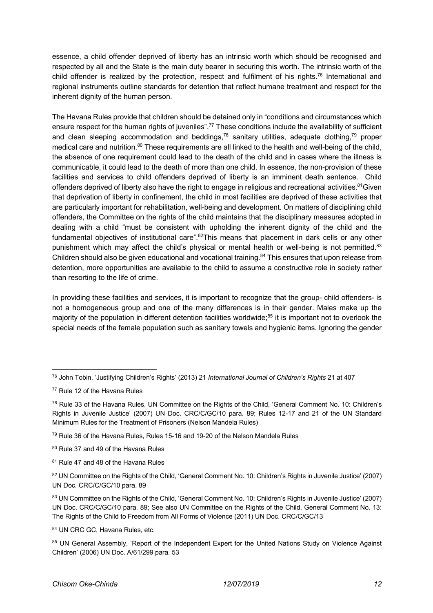essence, a child offender deprived of liberty has an intrinsic worth which should be recognised and respected by all and the State is the main duty bearer in securing this worth. The intrinsic worth of the child offender is realized by the protection, respect and fulfilment of his rights.<sup>76</sup> International and regional instruments outline standards for detention that reflect humane treatment and respect for the inherent dignity of the human person.

The Havana Rules provide that children should be detained only in "conditions and circumstances which ensure respect for the human rights of juveniles".<sup>77</sup> These conditions include the availability of sufficient and clean sleeping accommodation and beddings,  $78$  sanitary utilities, adequate clothing,  $79$  proper medical care and nutrition.<sup>80</sup> These requirements are all linked to the health and well-being of the child, the absence of one requirement could lead to the death of the child and in cases where the illness is communicable, it could lead to the death of more than one child. In essence, the non-provision of these facilities and services to child offenders deprived of liberty is an imminent death sentence. Child offenders deprived of liberty also have the right to engage in religious and recreational activities.<sup>81</sup>Given that deprivation of liberty in confinement, the child in most facilities are deprived of these activities that are particularly important for rehabilitation, well-being and development. On matters of disciplining child offenders, the Committee on the rights of the child maintains that the disciplinary measures adopted in dealing with a child "must be consistent with upholding the inherent dignity of the child and the fundamental objectives of institutional care".<sup>82</sup>This means that placement in dark cells or any other punishment which may affect the child's physical or mental health or well-being is not permitted.<sup>83</sup> Children should also be given educational and vocational training.<sup>84</sup> This ensures that upon release from detention, more opportunities are available to the child to assume a constructive role in society rather than resorting to the life of crime.

In providing these facilities and services, it is important to recognize that the group- child offenders- is not a homogeneous group and one of the many differences is in their gender. Males make up the majority of the population in different detention facilities worldwide;<sup>85</sup> it is important not to overlook the special needs of the female population such as sanitary towels and hygienic items. Ignoring the gender

84 UN CRC GC, Havana Rules, etc.

<sup>76</sup> John Tobin, 'Justifying Children's Rights' (2013) 21 *International Journal of Children's Rights* 21 at 407

<sup>77</sup> Rule 12 of the Havana Rules

<sup>78</sup> Rule 33 of the Havana Rules, UN Committee on the Rights of the Child, 'General Comment No. 10: Children's Rights in Juvenile Justice' (2007) UN Doc. CRC/C/GC/10 para. 89; Rules 12-17 and 21 of the UN Standard Minimum Rules for the Treatment of Prisoners (Nelson Mandela Rules)

<sup>79</sup> Rule 36 of the Havana Rules, Rules 15-16 and 19-20 of the Nelson Mandela Rules

<sup>80</sup> Rule 37 and 49 of the Havana Rules

<sup>81</sup> Rule 47 and 48 of the Havana Rules

<sup>82</sup> UN Committee on the Rights of the Child, 'General Comment No. 10: Children's Rights in Juvenile Justice' (2007) UN Doc. CRC/C/GC/10 para. 89

<sup>83</sup> UN Committee on the Rights of the Child, 'General Comment No. 10: Children's Rights in Juvenile Justice' (2007) UN Doc. CRC/C/GC/10 para. 89; See also UN Committee on the Rights of the Child, General Comment No. 13: The Rights of the Child to Freedom from All Forms of Violence (2011) UN Doc. CRC/C/GC/13

<sup>85</sup> UN General Assembly, 'Report of the Independent Expert for the United Nations Study on Violence Against Children' (2006) UN Doc. A/61/299 para. 53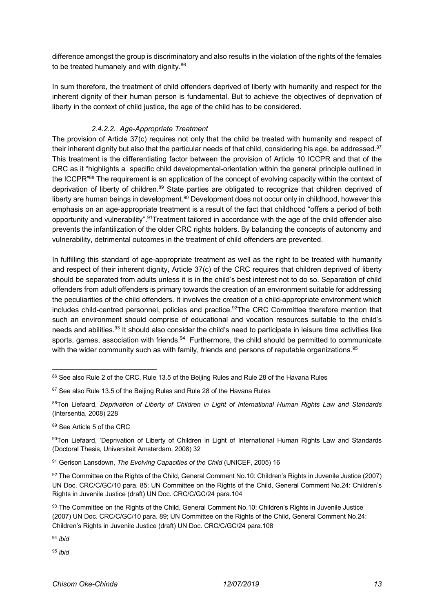difference amongst the group is discriminatory and also results in the violation of the rights of the females to be treated humanely and with dignity.<sup>86</sup>

In sum therefore, the treatment of child offenders deprived of liberty with humanity and respect for the inherent dignity of their human person is fundamental. But to achieve the objectives of deprivation of liberty in the context of child justice, the age of the child has to be considered.

## *2.4.2.2. Age-Appropriate Treatment*

The provision of Article 37(c) requires not only that the child be treated with humanity and respect of their inherent dignity but also that the particular needs of that child, considering his age, be addressed. $87$ This treatment is the differentiating factor between the provision of Article 10 ICCPR and that of the CRC as it "highlights a specific child developmental-orientation within the general principle outlined in the ICCPR"88 The requirement is an application of the concept of evolving capacity within the context of deprivation of liberty of children.<sup>89</sup> State parties are obligated to recognize that children deprived of liberty are human beings in development.<sup>90</sup> Development does not occur only in childhood, however this emphasis on an age-appropriate treatment is a result of the fact that childhood "offers a period of both opportunity and vulnerability".91Treatment tailored in accordance with the age of the child offender also prevents the infantilization of the older CRC rights holders. By balancing the concepts of autonomy and vulnerability, detrimental outcomes in the treatment of child offenders are prevented.

In fulfilling this standard of age-appropriate treatment as well as the right to be treated with humanity and respect of their inherent dignity, Article 37(c) of the CRC requires that children deprived of liberty should be separated from adults unless it is in the child's best interest not to do so. Separation of child offenders from adult offenders is primary towards the creation of an environment suitable for addressing the peculiarities of the child offenders. It involves the creation of a child-appropriate environment which includes child-centred personnel, policies and practice.<sup>92</sup>The CRC Committee therefore mention that such an environment should comprise of educational and vocation resources suitable to the child's needs and abilities.<sup>93</sup> It should also consider the child's need to participate in leisure time activities like sports, games, association with friends.<sup>94</sup> Furthermore, the child should be permitted to communicate with the wider community such as with family, friends and persons of reputable organizations.<sup>95</sup>

89 See Article 5 of the CRC

<sup>91</sup> Gerison Lansdown, *The Evolving Capacities of the Child* (UNICEF, 2005) 16

92 The Committee on the Rights of the Child, General Comment No.10: Children's Rights in Juvenile Justice (2007) UN Doc. CRC/C/GC/10 para. 85; UN Committee on the Rights of the Child, General Comment No.24: Children's Rights in Juvenile Justice (draft) UN Doc. CRC/C/GC/24 para.104

<sup>94</sup> *ibid*

<sup>95</sup> *ibid*

<sup>86</sup> See also Rule 2 of the CRC, Rule 13.5 of the Beijing Rules and Rule 28 of the Havana Rules

<sup>87</sup> See also Rule 13.5 of the Beijing Rules and Rule 28 of the Havana Rules

<sup>88</sup>Ton Liefaard, *Deprivation of Liberty of Children in Light of International Human Rights Law and Standards* (Intersentia, 2008) 228

<sup>90</sup>Ton Liefaard, 'Deprivation of Liberty of Children in Light of International Human Rights Law and Standards (Doctoral Thesis, Universiteit Amsterdam, 2008) 32

<sup>93</sup> The Committee on the Rights of the Child, General Comment No.10: Children's Rights in Juvenile Justice (2007) UN Doc. CRC/C/GC/10 para. 89; UN Committee on the Rights of the Child, General Comment No.24: Children's Rights in Juvenile Justice (draft) UN Doc. CRC/C/GC/24 para.108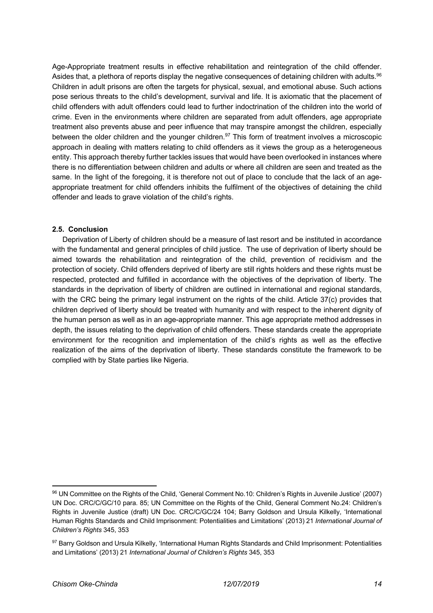Age-Appropriate treatment results in effective rehabilitation and reintegration of the child offender. Asides that, a plethora of reports display the negative consequences of detaining children with adults.<sup>96</sup> Children in adult prisons are often the targets for physical, sexual, and emotional abuse. Such actions pose serious threats to the child's development, survival and life. It is axiomatic that the placement of child offenders with adult offenders could lead to further indoctrination of the children into the world of crime. Even in the environments where children are separated from adult offenders, age appropriate treatment also prevents abuse and peer influence that may transpire amongst the children, especially between the older children and the younger children.<sup>97</sup> This form of treatment involves a microscopic approach in dealing with matters relating to child offenders as it views the group as a heterogeneous entity. This approach thereby further tackles issues that would have been overlooked in instances where there is no differentiation between children and adults or where all children are seen and treated as the same. In the light of the foregoing, it is therefore not out of place to conclude that the lack of an ageappropriate treatment for child offenders inhibits the fulfilment of the objectives of detaining the child offender and leads to grave violation of the child's rights.

#### **2.5. Conclusion**

Deprivation of Liberty of children should be a measure of last resort and be instituted in accordance with the fundamental and general principles of child justice. The use of deprivation of liberty should be aimed towards the rehabilitation and reintegration of the child, prevention of recidivism and the protection of society. Child offenders deprived of liberty are still rights holders and these rights must be respected, protected and fulfilled in accordance with the objectives of the deprivation of liberty. The standards in the deprivation of liberty of children are outlined in international and regional standards, with the CRC being the primary legal instrument on the rights of the child. Article 37(c) provides that children deprived of liberty should be treated with humanity and with respect to the inherent dignity of the human person as well as in an age-appropriate manner. This age appropriate method addresses in depth, the issues relating to the deprivation of child offenders. These standards create the appropriate environment for the recognition and implementation of the child's rights as well as the effective realization of the aims of the deprivation of liberty. These standards constitute the framework to be complied with by State parties like Nigeria.

<sup>96</sup> UN Committee on the Rights of the Child, 'General Comment No.10: Children's Rights in Juvenile Justice' (2007) UN Doc. CRC/C/GC/10 para. 85; UN Committee on the Rights of the Child, General Comment No.24: Children's Rights in Juvenile Justice (draft) UN Doc. CRC/C/GC/24 104; Barry Goldson and Ursula Kilkelly, 'International Human Rights Standards and Child Imprisonment: Potentialities and Limitations' (2013) 21 *International Journal of Children's Rights* 345, 353

<sup>97</sup> Barry Goldson and Ursula Kilkelly, 'International Human Rights Standards and Child Imprisonment: Potentialities and Limitations' (2013) 21 *International Journal of Children's Rights* 345, 353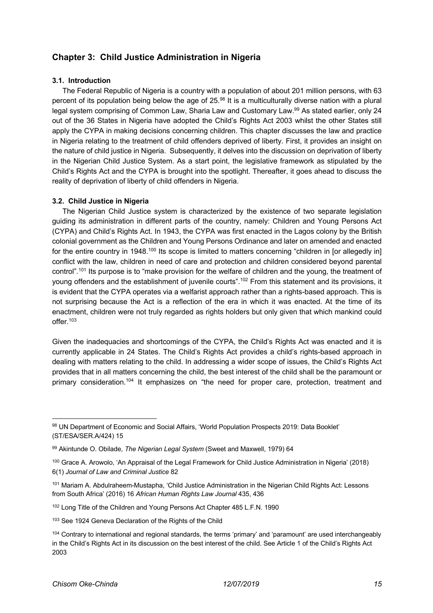# **Chapter 3: Child Justice Administration in Nigeria**

#### **3.1. Introduction**

The Federal Republic of Nigeria is a country with a population of about 201 million persons, with 63 percent of its population being below the age of 25.<sup>98</sup> It is a multiculturally diverse nation with a plural legal system comprising of Common Law, Sharia Law and Customary Law.99 As stated earlier, only 24 out of the 36 States in Nigeria have adopted the Child's Rights Act 2003 whilst the other States still apply the CYPA in making decisions concerning children. This chapter discusses the law and practice in Nigeria relating to the treatment of child offenders deprived of liberty. First, it provides an insight on the nature of child justice in Nigeria. Subsequently, it delves into the discussion on deprivation of liberty in the Nigerian Child Justice System. As a start point, the legislative framework as stipulated by the Child's Rights Act and the CYPA is brought into the spotlight. Thereafter, it goes ahead to discuss the reality of deprivation of liberty of child offenders in Nigeria.

## **3.2. Child Justice in Nigeria**

The Nigerian Child Justice system is characterized by the existence of two separate legislation guiding its administration in different parts of the country, namely: Children and Young Persons Act (CYPA) and Child's Rights Act. In 1943, the CYPA was first enacted in the Lagos colony by the British colonial government as the Children and Young Persons Ordinance and later on amended and enacted for the entire country in 1948.<sup>100</sup> Its scope is limited to matters concerning "children in [or allegedly in] conflict with the law, children in need of care and protection and children considered beyond parental control".101 Its purpose is to "make provision for the welfare of children and the young, the treatment of young offenders and the establishment of juvenile courts".<sup>102</sup> From this statement and its provisions, it is evident that the CYPA operates via a welfarist approach rather than a rights-based approach. This is not surprising because the Act is a reflection of the era in which it was enacted. At the time of its enactment, children were not truly regarded as rights holders but only given that which mankind could offer.103

Given the inadequacies and shortcomings of the CYPA, the Child's Rights Act was enacted and it is currently applicable in 24 States. The Child's Rights Act provides a child's rights-based approach in dealing with matters relating to the child. In addressing a wider scope of issues, the Child's Rights Act provides that in all matters concerning the child, the best interest of the child shall be the paramount or primary consideration.104 It emphasizes on "the need for proper care, protection, treatment and

<sup>98</sup> UN Department of Economic and Social Affairs, 'World Population Prospects 2019: Data Booklet' (ST/ESA/SER.A/424) 15

<sup>99</sup> Akintunde O. Obilade, *The Nigerian Legal System* (Sweet and Maxwell, 1979) 64

<sup>100</sup> Grace A. Arowolo, 'An Appraisal of the Legal Framework for Child Justice Administration in Nigeria' (2018) 6(1) *Journal of Law and Criminal Justice* 82

<sup>101</sup> Mariam A. Abdulraheem-Mustapha, 'Child Justice Administration in the Nigerian Child Rights Act: Lessons from South Africa' (2016) 16 *African Human Rights Law Journal* 435, 436

<sup>102</sup> Long Title of the Children and Young Persons Act Chapter 485 L.F.N. 1990

<sup>103</sup> See 1924 Geneva Declaration of the Rights of the Child

<sup>104</sup> Contrary to international and regional standards, the terms 'primary' and 'paramount' are used interchangeably in the Child's Rights Act in its discussion on the best interest of the child. See Article 1 of the Child's Rights Act 2003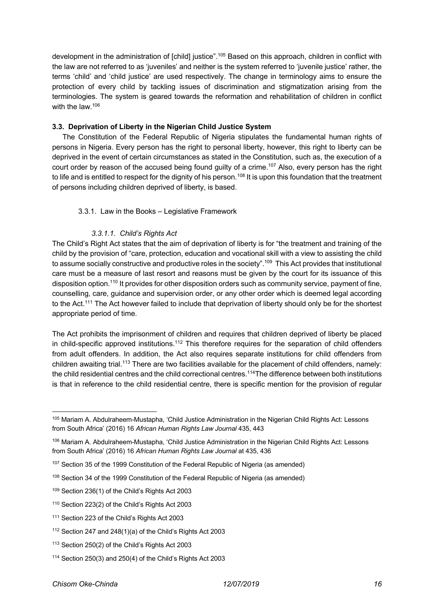development in the administration of [child] justice".<sup>105</sup> Based on this approach, children in conflict with the law are not referred to as 'juveniles' and neither is the system referred to 'juvenile justice' rather, the terms 'child' and 'child justice' are used respectively. The change in terminology aims to ensure the protection of every child by tackling issues of discrimination and stigmatization arising from the terminologies. The system is geared towards the reformation and rehabilitation of children in conflict with the law.<sup>106</sup>

#### **3.3. Deprivation of Liberty in the Nigerian Child Justice System**

The Constitution of the Federal Republic of Nigeria stipulates the fundamental human rights of persons in Nigeria. Every person has the right to personal liberty, however, this right to liberty can be deprived in the event of certain circumstances as stated in the Constitution, such as, the execution of a court order by reason of the accused being found guilty of a crime.<sup>107</sup> Also, every person has the right to life and is entitled to respect for the dignity of his person.<sup>108</sup> It is upon this foundation that the treatment of persons including children deprived of liberty, is based.

#### 3.3.1. Law in the Books – Legislative Framework

#### *3.3.1.1. Child's Rights Act*

The Child's Right Act states that the aim of deprivation of liberty is for "the treatment and training of the child by the provision of "care, protection, education and vocational skill with a view to assisting the child to assume socially constructive and productive roles in the society".<sup>109</sup> This Act provides that institutional care must be a measure of last resort and reasons must be given by the court for its issuance of this disposition option.110 It provides for other disposition orders such as community service, payment of fine, counselling, care, guidance and supervision order, or any other order which is deemed legal according to the Act.<sup>111</sup> The Act however failed to include that deprivation of liberty should only be for the shortest appropriate period of time.

The Act prohibits the imprisonment of children and requires that children deprived of liberty be placed in child-specific approved institutions.<sup>112</sup> This therefore requires for the separation of child offenders from adult offenders. In addition, the Act also requires separate institutions for child offenders from children awaiting trial.113 There are two facilities available for the placement of child offenders, namely: the child residential centres and the child correctional centres.114The difference between both institutions is that in reference to the child residential centre, there is specific mention for the provision of regular

<sup>105</sup> Mariam A. Abdulraheem-Mustapha, 'Child Justice Administration in the Nigerian Child Rights Act: Lessons from South Africa' (2016) 16 *African Human Rights Law Journal* 435, 443

<sup>106</sup> Mariam A. Abdulraheem-Mustapha, 'Child Justice Administration in the Nigerian Child Rights Act: Lessons from South Africa' (2016) 16 *African Human Rights Law Journal* at 435, 436

<sup>&</sup>lt;sup>107</sup> Section 35 of the 1999 Constitution of the Federal Republic of Nigeria (as amended)

<sup>108</sup> Section 34 of the 1999 Constitution of the Federal Republic of Nigeria (as amended)

<sup>109</sup> Section 236(1) of the Child's Rights Act 2003

<sup>110</sup> Section 223(2) of the Child's Rights Act 2003

<sup>111</sup> Section 223 of the Child's Rights Act 2003

<sup>112</sup> Section 247 and 248(1)(a) of the Child's Rights Act 2003

<sup>113</sup> Section 250(2) of the Child's Rights Act 2003

<sup>114</sup> Section 250(3) and 250(4) of the Child's Rights Act 2003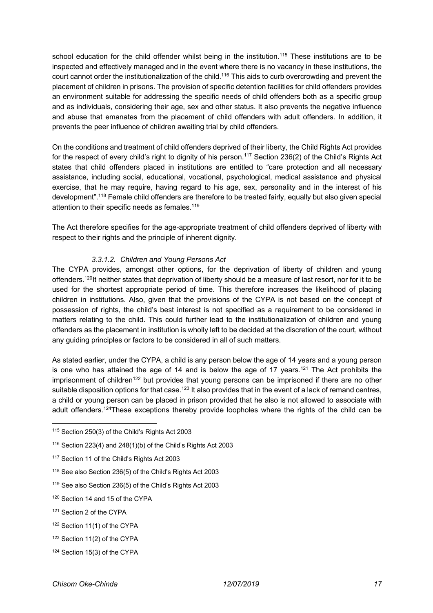school education for the child offender whilst being in the institution.<sup>115</sup> These institutions are to be inspected and effectively managed and in the event where there is no vacancy in these institutions, the court cannot order the institutionalization of the child.116 This aids to curb overcrowding and prevent the placement of children in prisons. The provision of specific detention facilities for child offenders provides an environment suitable for addressing the specific needs of child offenders both as a specific group and as individuals, considering their age, sex and other status. It also prevents the negative influence and abuse that emanates from the placement of child offenders with adult offenders. In addition, it prevents the peer influence of children awaiting trial by child offenders.

On the conditions and treatment of child offenders deprived of their liberty, the Child Rights Act provides for the respect of every child's right to dignity of his person.<sup>117</sup> Section 236(2) of the Child's Rights Act states that child offenders placed in institutions are entitled to "care protection and all necessary assistance, including social, educational, vocational, psychological, medical assistance and physical exercise, that he may require, having regard to his age, sex, personality and in the interest of his development".<sup>118</sup> Female child offenders are therefore to be treated fairly, equally but also given special attention to their specific needs as females.<sup>119</sup>

The Act therefore specifies for the age-appropriate treatment of child offenders deprived of liberty with respect to their rights and the principle of inherent dignity.

## *3.3.1.2. Children and Young Persons Act*

The CYPA provides, amongst other options, for the deprivation of liberty of children and young offenders.<sup>120</sup>It neither states that deprivation of liberty should be a measure of last resort, nor for it to be used for the shortest appropriate period of time. This therefore increases the likelihood of placing children in institutions. Also, given that the provisions of the CYPA is not based on the concept of possession of rights, the child's best interest is not specified as a requirement to be considered in matters relating to the child. This could further lead to the institutionalization of children and young offenders as the placement in institution is wholly left to be decided at the discretion of the court, without any guiding principles or factors to be considered in all of such matters.

As stated earlier, under the CYPA, a child is any person below the age of 14 years and a young person is one who has attained the age of 14 and is below the age of 17 years.<sup>121</sup> The Act prohibits the imprisonment of children<sup>122</sup> but provides that young persons can be imprisoned if there are no other suitable disposition options for that case.<sup>123</sup> It also provides that in the event of a lack of remand centres, a child or young person can be placed in prison provided that he also is not allowed to associate with adult offenders.<sup>124</sup>These exceptions thereby provide loopholes where the rights of the child can be

<sup>115</sup> Section 250(3) of the Child's Rights Act 2003

 $116$  Section 223(4) and 248(1)(b) of the Child's Rights Act 2003

<sup>117</sup> Section 11 of the Child's Rights Act 2003

<sup>118</sup> See also Section 236(5) of the Child's Rights Act 2003

<sup>119</sup> See also Section 236(5) of the Child's Rights Act 2003

<sup>120</sup> Section 14 and 15 of the CYPA

<sup>121</sup> Section 2 of the CYPA

<sup>122</sup> Section 11(1) of the CYPA

<sup>123</sup> Section 11(2) of the CYPA

<sup>124</sup> Section 15(3) of the CYPA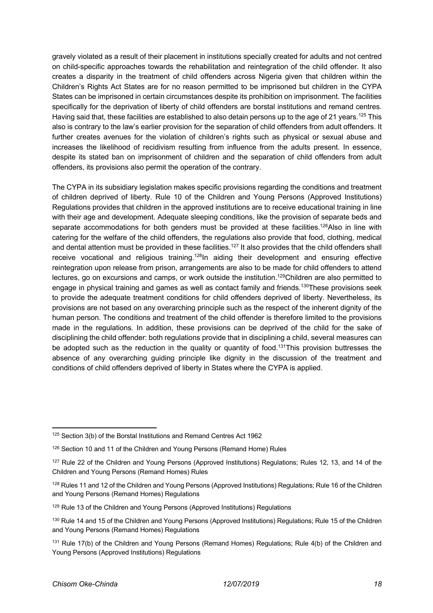gravely violated as a result of their placement in institutions specially created for adults and not centred on child-specific approaches towards the rehabilitation and reintegration of the child offender. It also creates a disparity in the treatment of child offenders across Nigeria given that children within the Children's Rights Act States are for no reason permitted to be imprisoned but children in the CYPA States can be imprisoned in certain circumstances despite its prohibition on imprisonment. The facilities specifically for the deprivation of liberty of child offenders are borstal institutions and remand centres. Having said that, these facilities are established to also detain persons up to the age of 21 years.<sup>125</sup> This also is contrary to the law's earlier provision for the separation of child offenders from adult offenders. It further creates avenues for the violation of children's rights such as physical or sexual abuse and increases the likelihood of recidivism resulting from influence from the adults present. In essence, despite its stated ban on imprisonment of children and the separation of child offenders from adult offenders, its provisions also permit the operation of the contrary.

The CYPA in its subsidiary legislation makes specific provisions regarding the conditions and treatment of children deprived of liberty. Rule 10 of the Children and Young Persons (Approved Institutions) Regulations provides that children in the approved institutions are to receive educational training in line with their age and development. Adequate sleeping conditions, like the provision of separate beds and separate accommodations for both genders must be provided at these facilities.<sup>126</sup>Also in line with catering for the welfare of the child offenders, the regulations also provide that food, clothing, medical and dental attention must be provided in these facilities.127 It also provides that the child offenders shall receive vocational and religious training.<sup>128</sup>In aiding their development and ensuring effective reintegration upon release from prison, arrangements are also to be made for child offenders to attend lectures, go on excursions and camps, or work outside the institution.<sup>129</sup>Children are also permitted to engage in physical training and games as well as contact family and friends.130These provisions seek to provide the adequate treatment conditions for child offenders deprived of liberty. Nevertheless, its provisions are not based on any overarching principle such as the respect of the inherent dignity of the human person. The conditions and treatment of the child offender is therefore limited to the provisions made in the regulations. In addition, these provisions can be deprived of the child for the sake of disciplining the child offender: both regulations provide that in disciplining a child, several measures can be adopted such as the reduction in the quality or quantity of food.<sup>131</sup>This provision buttresses the absence of any overarching quiding principle like dignity in the discussion of the treatment and conditions of child offenders deprived of liberty in States where the CYPA is applied.

<sup>125</sup> Section 3(b) of the Borstal Institutions and Remand Centres Act 1962

<sup>126</sup> Section 10 and 11 of the Children and Young Persons (Remand Home) Rules

<sup>&</sup>lt;sup>127</sup> Rule 22 of the Children and Young Persons (Approved Institutions) Regulations; Rules 12, 13, and 14 of the Children and Young Persons (Remand Homes) Rules

<sup>&</sup>lt;sup>128</sup> Rules 11 and 12 of the Children and Young Persons (Approved Institutions) Regulations; Rule 16 of the Children and Young Persons (Remand Homes) Regulations

<sup>&</sup>lt;sup>129</sup> Rule 13 of the Children and Young Persons (Approved Institutions) Regulations

<sup>&</sup>lt;sup>130</sup> Rule 14 and 15 of the Children and Young Persons (Approved Institutions) Regulations; Rule 15 of the Children and Young Persons (Remand Homes) Regulations

<sup>&</sup>lt;sup>131</sup> Rule 17(b) of the Children and Young Persons (Remand Homes) Regulations; Rule 4(b) of the Children and Young Persons (Approved Institutions) Regulations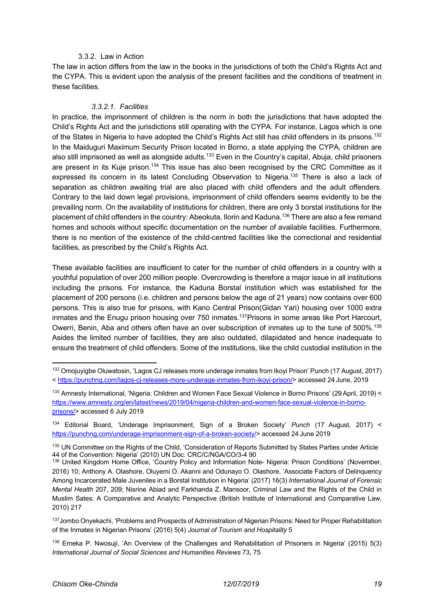#### 3.3.2. Law in Action

The law in action differs from the law in the books in the jurisdictions of both the Child's Rights Act and the CYPA. This is evident upon the analysis of the present facilities and the conditions of treatment in these facilities.

## *3.3.2.1. Facilities*

In practice, the imprisonment of children is the norm in both the jurisdictions that have adopted the Child's Rights Act and the jurisdictions still operating with the CYPA. For instance, Lagos which is one of the States in Nigeria to have adopted the Child's Rights Act still has child offenders in its prisons.<sup>132</sup> In the Maiduguri Maximum Security Prison located in Borno, a state applying the CYPA, children are also still imprisoned as well as alongside adults.<sup>133</sup> Even in the Country's capital, Abuja, child prisoners are present in its Kuje prison.<sup>134</sup> This issue has also been recognised by the CRC Committee as it expressed its concern in its latest Concluding Observation to Nigeria.<sup>135</sup> There is also a lack of separation as children awaiting trial are also placed with child offenders and the adult offenders. Contrary to the laid down legal provisions, imprisonment of child offenders seems evidently to be the prevailing norm. On the availability of institutions for children, there are only 3 borstal institutions for the placement of child offenders in the country: Abeokuta, Ilorin and Kaduna.136 There are also a few remand homes and schools without specific documentation on the number of available facilities. Furthermore, there is no mention of the existence of the child-centred facilities like the correctional and residential facilities, as prescribed by the Child's Rights Act.

These available facilities are insufficient to cater for the number of child offenders in a country with a youthful population of over 200 million people. Overcrowding is therefore a major issue in all institutions including the prisons. For instance, the Kaduna Borstal institution which was established for the placement of 200 persons (i.e. children and persons below the age of 21 years) now contains over 600 persons. This is also true for prisons, with Kano Central Prison(Gidan Yari) housing over 1000 extra inmates and the Enugu prison housing over 750 inmates.<sup>137</sup> Prisons in some areas like Port Harcourt, Owerri, Benin, Aba and others often have an over subscription of inmates up to the tune of 500%.<sup>138</sup> Asides the limited number of facilities, they are also outdated, dilapidated and hence inadequate to ensure the treatment of child offenders. Some of the institutions, like the child custodial institution in the

<sup>134</sup> Editorial Board, 'Underage Imprisonment, Sign of a Broken Society' *Punch* (17 August, 2017) < https://punchng.com/underage-imprisonment-sign-of-a-broken-society/> accessed 24 June 2019

<sup>132</sup> Omojuvigbe Oluwatosin, 'Lagos CJ releases more underage inmates from Ikoyi Prison' Punch (17 August, 2017) < https://punchng.com/lagos-cj-releases-more-underage-inmates-from-ikoyi-prison/> accessed 24 June, 2019

<sup>133</sup> Amnesty International, 'Nigeria: Children and Women Face Sexual Violence in Borno Prisons' (29 April, 2019) < https://www.amnesty.org/en/latest/news/2019/04/nigeria-children-and-women-face-sexual-violence-in-bornoprisons/> accessed 6 July 2019

<sup>135</sup> UN Committee on the Rights of the Child, 'Consideration of Reports Submitted by States Parties under Article 44 of the Convention: Nigeria' (2010) UN Doc. CRC/C/NGA/CO/3-4 90

<sup>136</sup> United Kingdom Home Office, 'Country Policy and Information Note- Nigeria: Prison Conditions' (November, 2016) 10; Anthony A. Olashore, Oluyemi O. Akanni and Odunayo O. Olashore, 'Associate Factors of Delinquency Among Incarcerated Male Juveniles in a Borstal Institution in Nigeria' (2017) 16(3) *International Journal of Forensic Mental Health* 207, 209; Nisrine Abiad and Farkhanda Z. Mansoor, Criminal Law and the Rights of the Child in Muslim Sates: A Comparative and Analytic Perspective (British Institute of International and Comparative Law, 2010) 217

<sup>&</sup>lt;sup>137</sup>Jombo Onyekachi, 'Problems and Prospects of Administration of Nigerian Prisons: Need for Proper Rehabilitation of the Inmates in Nigerian Prisons' (2016) 5(4) *Journal of Tourism and Hospitality* 5

<sup>138</sup> Emeka P. Nwosuji, 'An Overview of the Challenges and Rehabilitation of Prisoners in Nigeria' (2015) 5(3) *International Journal of Social Sciences and Humanities Reviews* 73, 75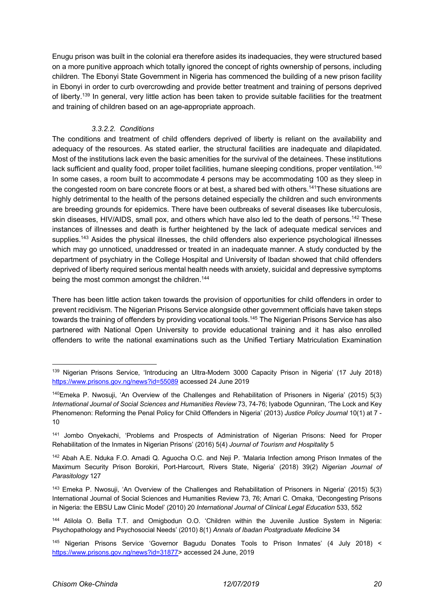Enugu prison was built in the colonial era therefore asides its inadequacies, they were structured based on a more punitive approach which totally ignored the concept of rights ownership of persons, including children. The Ebonyi State Government in Nigeria has commenced the building of a new prison facility in Ebonyi in order to curb overcrowding and provide better treatment and training of persons deprived of liberty.<sup>139</sup> In general, very little action has been taken to provide suitable facilities for the treatment and training of children based on an age-appropriate approach.

## *3.3.2.2. Conditions*

The conditions and treatment of child offenders deprived of liberty is reliant on the availability and adequacy of the resources. As stated earlier, the structural facilities are inadequate and dilapidated. Most of the institutions lack even the basic amenities for the survival of the detainees. These institutions lack sufficient and quality food, proper toilet facilities, humane sleeping conditions, proper ventilation.<sup>140</sup> In some cases, a room built to accommodate 4 persons may be accommodating 100 as they sleep in the congested room on bare concrete floors or at best, a shared bed with others.<sup>141</sup>These situations are highly detrimental to the health of the persons detained especially the children and such environments are breeding grounds for epidemics. There have been outbreaks of several diseases like tuberculosis, skin diseases, HIV/AIDS, small pox, and others which have also led to the death of persons.142 These instances of illnesses and death is further heightened by the lack of adequate medical services and supplies.<sup>143</sup> Asides the physical illnesses, the child offenders also experience psychological illnesses which may go unnoticed, unaddressed or treated in an inadequate manner. A study conducted by the department of psychiatry in the College Hospital and University of Ibadan showed that child offenders deprived of liberty required serious mental health needs with anxiety, suicidal and depressive symptoms being the most common amongst the children.<sup>144</sup>

There has been little action taken towards the provision of opportunities for child offenders in order to prevent recidivism. The Nigerian Prisons Service alongside other government officials have taken steps towards the training of offenders by providing vocational tools. <sup>145</sup> The Nigerian Prisons Service has also partnered with National Open University to provide educational training and it has also enrolled offenders to write the national examinations such as the Unified Tertiary Matriculation Examination

<sup>139</sup> Nigerian Prisons Service, 'Introducing an Ultra-Modern 3000 Capacity Prison in Nigeria' (17 July 2018) https://www.prisons.gov.ng/news?id=55089 accessed 24 June 2019

<sup>140</sup>Emeka P. Nwosuji, 'An Overview of the Challenges and Rehabilitation of Prisoners in Nigeria' (2015) 5(3) *International Journal of Social Sciences and Humanities Review* 73, 74-76; Iyabode Ogunniran, 'The Lock and Key Phenomenon: Reforming the Penal Policy for Child Offenders in Nigeria' (2013) *Justice Policy Journal* 10(1) at 7 - 10

<sup>141</sup> Jombo Onyekachi, 'Problems and Prospects of Administration of Nigerian Prisons: Need for Proper Rehabilitation of the Inmates in Nigerian Prisons' (2016) 5(4) *Journal of Tourism and Hospitality* 5

<sup>142</sup> Abah A.E. Nduka F.O. Amadi Q. Aguocha O.C. and Neji P. 'Malaria Infection among Prison Inmates of the Maximum Security Prison Borokiri, Port-Harcourt, Rivers State, Nigeria' (2018) 39(2) *Nigerian Journal of Parasitology* 127

<sup>143</sup> Emeka P. Nwosuji, 'An Overview of the Challenges and Rehabilitation of Prisoners in Nigeria' (2015) 5(3) International Journal of Social Sciences and Humanities Review 73, 76; Amari C. Omaka, 'Decongesting Prisons in Nigeria: the EBSU Law Clinic Model' (2010) 20 *International Journal of Clinical Legal Education* 533, 552

<sup>144</sup> Atilola O. Bella T.T. and Omigbodun O.O. 'Children within the Juvenile Justice System in Nigeria: Psychopathology and Psychosocial Needs' (2010) 8(1) *Annals of Ibadan Postgraduate Medicine* 34

<sup>145</sup> Nigerian Prisons Service 'Governor Bagudu Donates Tools to Prison Inmates' (4 July 2018) < https://www.prisons.gov.ng/news?id=31877> accessed 24 June, 2019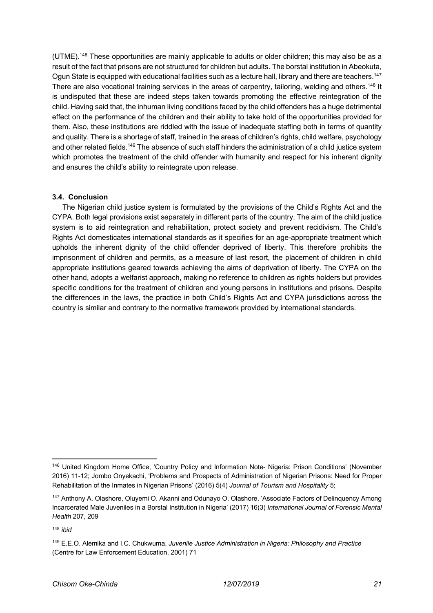(UTME).146 These opportunities are mainly applicable to adults or older children; this may also be as a result of the fact that prisons are not structured for children but adults. The borstal institution in Abeokuta, Ogun State is equipped with educational facilities such as a lecture hall, library and there are teachers.147 There are also vocational training services in the areas of carpentry, tailoring, welding and others.<sup>148</sup> It is undisputed that these are indeed steps taken towards promoting the effective reintegration of the child. Having said that, the inhuman living conditions faced by the child offenders has a huge detrimental effect on the performance of the children and their ability to take hold of the opportunities provided for them. Also, these institutions are riddled with the issue of inadequate staffing both in terms of quantity and quality. There is a shortage of staff, trained in the areas of children's rights, child welfare, psychology and other related fields.<sup>149</sup> The absence of such staff hinders the administration of a child justice system which promotes the treatment of the child offender with humanity and respect for his inherent dignity and ensures the child's ability to reintegrate upon release.

## **3.4. Conclusion**

The Nigerian child justice system is formulated by the provisions of the Child's Rights Act and the CYPA. Both legal provisions exist separately in different parts of the country. The aim of the child justice system is to aid reintegration and rehabilitation, protect society and prevent recidivism. The Child's Rights Act domesticates international standards as it specifies for an age-appropriate treatment which upholds the inherent dignity of the child offender deprived of liberty. This therefore prohibits the imprisonment of children and permits, as a measure of last resort, the placement of children in child appropriate institutions geared towards achieving the aims of deprivation of liberty. The CYPA on the other hand, adopts a welfarist approach, making no reference to children as rights holders but provides specific conditions for the treatment of children and young persons in institutions and prisons. Despite the differences in the laws, the practice in both Child's Rights Act and CYPA jurisdictions across the country is similar and contrary to the normative framework provided by international standards.

<sup>146</sup> United Kingdom Home Office, 'Country Policy and Information Note- Nigeria: Prison Conditions' (November 2016) 11-12; Jombo Onyekachi, 'Problems and Prospects of Administration of Nigerian Prisons: Need for Proper Rehabilitation of the Inmates in Nigerian Prisons' (2016) 5(4) *Journal of Tourism and Hospitality* 5;

<sup>147</sup> Anthony A. Olashore, Oluyemi O. Akanni and Odunayo O. Olashore, 'Associate Factors of Delinquency Among Incarcerated Male Juveniles in a Borstal Institution in Nigeria' (2017) 16(3) *International Journal of Forensic Mental Health* 207, 209

<sup>148</sup> *ibid*

<sup>149</sup> E.E.O. Alemika and I.C. Chukwuma, *Juvenile Justice Administration in Nigeria: Philosophy and Practice* (Centre for Law Enforcement Education, 2001) 71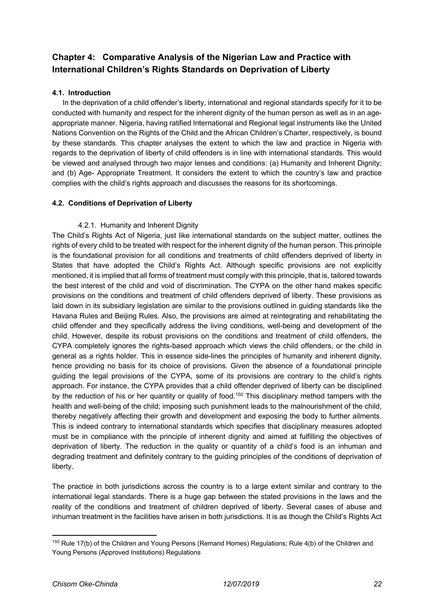# **Chapter 4: Comparative Analysis of the Nigerian Law and Practice with International Children's Rights Standards on Deprivation of Liberty**

## **4.1. Introduction**

In the deprivation of a child offender's liberty, international and regional standards specify for it to be conducted with humanity and respect for the inherent dignity of the human person as well as in an ageappropriate manner. Nigeria, having ratified International and Regional legal instruments like the United Nations Convention on the Rights of the Child and the African Children's Charter, respectively, is bound by these standards. This chapter analyses the extent to which the law and practice in Nigeria with regards to the deprivation of liberty of child offenders is in line with international standards. This would be viewed and analysed through two major lenses and conditions: (a) Humanity and Inherent Dignity; and (b) Age- Appropriate Treatment. It considers the extent to which the country's law and practice complies with the child's rights approach and discusses the reasons for its shortcomings.

## **4.2. Conditions of Deprivation of Liberty**

## 4.2.1. Humanity and Inherent Dignity

The Child's Rights Act of Nigeria, just like international standards on the subject matter, outlines the rights of every child to be treated with respect for the inherent dignity of the human person. This principle is the foundational provision for all conditions and treatments of child offenders deprived of liberty in States that have adopted the Child's Rights Act. Although specific provisions are not explicitly mentioned, it is implied that all forms of treatment must comply with this principle, that is, tailored towards the best interest of the child and void of discrimination. The CYPA on the other hand makes specific provisions on the conditions and treatment of child offenders deprived of liberty. These provisions as laid down in its subsidiary legislation are similar to the provisions outlined in guiding standards like the Havana Rules and Beijing Rules. Also, the provisions are aimed at reintegrating and rehabilitating the child offender and they specifically address the living conditions, well-being and development of the child. However, despite its robust provisions on the conditions and treatment of child offenders, the CYPA completely ignores the rights-based approach which views the child offenders, or the child in general as a rights holder. This in essence side-lines the principles of humanity and inherent dignity, hence providing no basis for its choice of provisions. Given the absence of a foundational principle guiding the legal provisions of the CYPA, some of its provisions are contrary to the child's rights approach. For instance, the CYPA provides that a child offender deprived of liberty can be disciplined by the reduction of his or her quantity or quality of food.<sup>150</sup> This disciplinary method tampers with the health and well-being of the child; imposing such punishment leads to the malnourishment of the child, thereby negatively affecting their growth and development and exposing the body to further ailments. This is indeed contrary to international standards which specifies that disciplinary measures adopted must be in compliance with the principle of inherent dignity and aimed at fulfilling the objectives of deprivation of liberty. The reduction in the quality or quantity of a child's food is an inhuman and degrading treatment and definitely contrary to the guiding principles of the conditions of deprivation of liberty.

The practice in both jurisdictions across the country is to a large extent similar and contrary to the international legal standards. There is a huge gap between the stated provisions in the laws and the reality of the conditions and treatment of children deprived of liberty. Several cases of abuse and inhuman treatment in the facilities have arisen in both jurisdictions. It is as though the Child's Rights Act

<sup>&</sup>lt;sup>150</sup> Rule 17(b) of the Children and Young Persons (Remand Homes) Regulations; Rule 4(b) of the Children and Young Persons (Approved Institutions) Regulations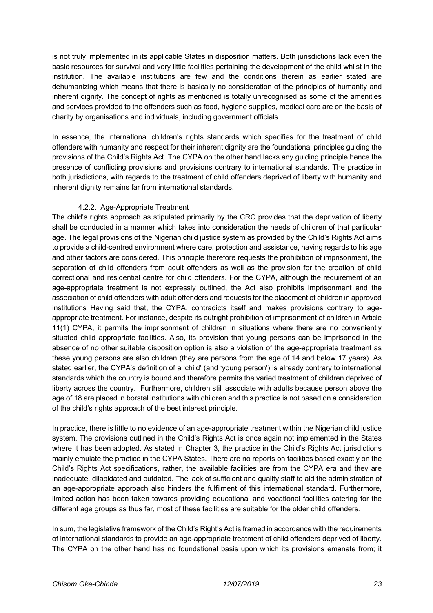is not truly implemented in its applicable States in disposition matters. Both jurisdictions lack even the basic resources for survival and very little facilities pertaining the development of the child whilst in the institution. The available institutions are few and the conditions therein as earlier stated are dehumanizing which means that there is basically no consideration of the principles of humanity and inherent dignity. The concept of rights as mentioned is totally unrecognised as some of the amenities and services provided to the offenders such as food, hygiene supplies, medical care are on the basis of charity by organisations and individuals, including government officials.

In essence, the international children's rights standards which specifies for the treatment of child offenders with humanity and respect for their inherent dignity are the foundational principles guiding the provisions of the Child's Rights Act. The CYPA on the other hand lacks any guiding principle hence the presence of conflicting provisions and provisions contrary to international standards. The practice in both jurisdictions, with regards to the treatment of child offenders deprived of liberty with humanity and inherent dignity remains far from international standards.

## 4.2.2. Age-Appropriate Treatment

The child's rights approach as stipulated primarily by the CRC provides that the deprivation of liberty shall be conducted in a manner which takes into consideration the needs of children of that particular age. The legal provisions of the Nigerian child justice system as provided by the Child's Rights Act aims to provide a child-centred environment where care, protection and assistance, having regards to his age and other factors are considered. This principle therefore requests the prohibition of imprisonment, the separation of child offenders from adult offenders as well as the provision for the creation of child correctional and residential centre for child offenders. For the CYPA, although the requirement of an age-appropriate treatment is not expressly outlined, the Act also prohibits imprisonment and the association of child offenders with adult offenders and requests for the placement of children in approved institutions Having said that, the CYPA, contradicts itself and makes provisions contrary to ageappropriate treatment. For instance, despite its outright prohibition of imprisonment of children in Article 11(1) CYPA, it permits the imprisonment of children in situations where there are no conveniently situated child appropriate facilities. Also, its provision that young persons can be imprisoned in the absence of no other suitable disposition option is also a violation of the age-appropriate treatment as these young persons are also children (they are persons from the age of 14 and below 17 years). As stated earlier, the CYPA's definition of a 'child' (and 'young person') is already contrary to international standards which the country is bound and therefore permits the varied treatment of children deprived of liberty across the country. Furthermore, children still associate with adults because person above the age of 18 are placed in borstal institutions with children and this practice is not based on a consideration of the child's rights approach of the best interest principle.

In practice, there is little to no evidence of an age-appropriate treatment within the Nigerian child justice system. The provisions outlined in the Child's Rights Act is once again not implemented in the States where it has been adopted. As stated in Chapter 3, the practice in the Child's Rights Act jurisdictions mainly emulate the practice in the CYPA States. There are no reports on facilities based exactly on the Child's Rights Act specifications, rather, the available facilities are from the CYPA era and they are inadequate, dilapidated and outdated. The lack of sufficient and quality staff to aid the administration of an age-appropriate approach also hinders the fulfilment of this international standard. Furthermore, limited action has been taken towards providing educational and vocational facilities catering for the different age groups as thus far, most of these facilities are suitable for the older child offenders.

In sum, the legislative framework of the Child's Right's Act is framed in accordance with the requirements of international standards to provide an age-appropriate treatment of child offenders deprived of liberty. The CYPA on the other hand has no foundational basis upon which its provisions emanate from; it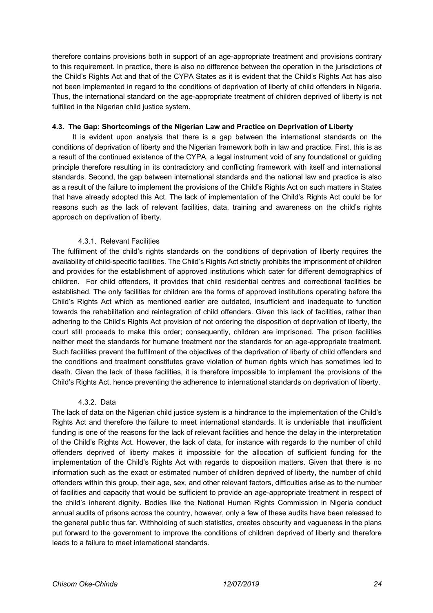therefore contains provisions both in support of an age-appropriate treatment and provisions contrary to this requirement. In practice, there is also no difference between the operation in the jurisdictions of the Child's Rights Act and that of the CYPA States as it is evident that the Child's Rights Act has also not been implemented in regard to the conditions of deprivation of liberty of child offenders in Nigeria. Thus, the international standard on the age-appropriate treatment of children deprived of liberty is not fulfilled in the Nigerian child justice system.

#### **4.3. The Gap: Shortcomings of the Nigerian Law and Practice on Deprivation of Liberty**

 It is evident upon analysis that there is a gap between the international standards on the conditions of deprivation of liberty and the Nigerian framework both in law and practice. First, this is as a result of the continued existence of the CYPA, a legal instrument void of any foundational or guiding principle therefore resulting in its contradictory and conflicting framework with itself and international standards. Second, the gap between international standards and the national law and practice is also as a result of the failure to implement the provisions of the Child's Rights Act on such matters in States that have already adopted this Act. The lack of implementation of the Child's Rights Act could be for reasons such as the lack of relevant facilities, data, training and awareness on the child's rights approach on deprivation of liberty.

## 4.3.1. Relevant Facilities

The fulfilment of the child's rights standards on the conditions of deprivation of liberty requires the availability of child-specific facilities. The Child's Rights Act strictly prohibits the imprisonment of children and provides for the establishment of approved institutions which cater for different demographics of children. For child offenders, it provides that child residential centres and correctional facilities be established. The only facilities for children are the forms of approved institutions operating before the Child's Rights Act which as mentioned earlier are outdated, insufficient and inadequate to function towards the rehabilitation and reintegration of child offenders. Given this lack of facilities, rather than adhering to the Child's Rights Act provision of not ordering the disposition of deprivation of liberty, the court still proceeds to make this order; consequently, children are imprisoned. The prison facilities neither meet the standards for humane treatment nor the standards for an age-appropriate treatment. Such facilities prevent the fulfilment of the objectives of the deprivation of liberty of child offenders and the conditions and treatment constitutes grave violation of human rights which has sometimes led to death. Given the lack of these facilities, it is therefore impossible to implement the provisions of the Child's Rights Act, hence preventing the adherence to international standards on deprivation of liberty.

#### 4.3.2. Data

The lack of data on the Nigerian child justice system is a hindrance to the implementation of the Child's Rights Act and therefore the failure to meet international standards. It is undeniable that insufficient funding is one of the reasons for the lack of relevant facilities and hence the delay in the interpretation of the Child's Rights Act. However, the lack of data, for instance with regards to the number of child offenders deprived of liberty makes it impossible for the allocation of sufficient funding for the implementation of the Child's Rights Act with regards to disposition matters. Given that there is no information such as the exact or estimated number of children deprived of liberty, the number of child offenders within this group, their age, sex, and other relevant factors, difficulties arise as to the number of facilities and capacity that would be sufficient to provide an age-appropriate treatment in respect of the child's inherent dignity. Bodies like the National Human Rights Commission in Nigeria conduct annual audits of prisons across the country, however, only a few of these audits have been released to the general public thus far. Withholding of such statistics, creates obscurity and vagueness in the plans put forward to the government to improve the conditions of children deprived of liberty and therefore leads to a failure to meet international standards.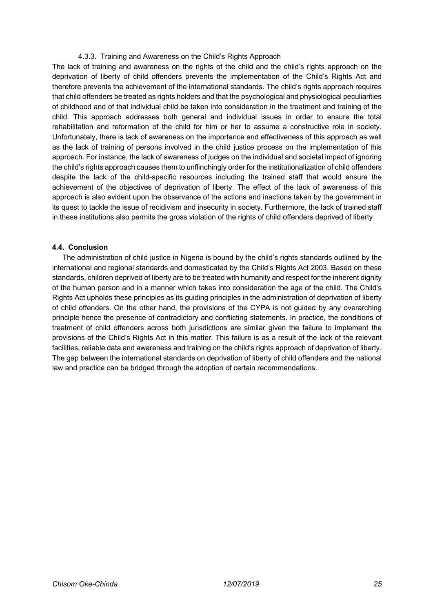#### 4.3.3. Training and Awareness on the Child's Rights Approach

The lack of training and awareness on the rights of the child and the child's rights approach on the deprivation of liberty of child offenders prevents the implementation of the Child's Rights Act and therefore prevents the achievement of the international standards. The child's rights approach requires that child offenders be treated as rights holders and that the psychological and physiological peculiarities of childhood and of that individual child be taken into consideration in the treatment and training of the child. This approach addresses both general and individual issues in order to ensure the total rehabilitation and reformation of the child for him or her to assume a constructive role in society. Unfortunately, there is lack of awareness on the importance and effectiveness of this approach as well as the lack of training of persons involved in the child justice process on the implementation of this approach. For instance, the lack of awareness of judges on the individual and societal impact of ignoring the child's rights approach causes them to unflinchingly order for the institutionalization of child offenders despite the lack of the child-specific resources including the trained staff that would ensure the achievement of the objectives of deprivation of liberty. The effect of the lack of awareness of this approach is also evident upon the observance of the actions and inactions taken by the government in its quest to tackle the issue of recidivism and insecurity in society. Furthermore, the lack of trained staff in these institutions also permits the gross violation of the rights of child offenders deprived of liberty

#### **4.4. Conclusion**

The administration of child justice in Nigeria is bound by the child's rights standards outlined by the international and regional standards and domesticated by the Child's Rights Act 2003. Based on these standards, children deprived of liberty are to be treated with humanity and respect for the inherent dignity of the human person and in a manner which takes into consideration the age of the child. The Child's Rights Act upholds these principles as its guiding principles in the administration of deprivation of liberty of child offenders. On the other hand, the provisions of the CYPA is not guided by any overarching principle hence the presence of contradictory and conflicting statements. In practice, the conditions of treatment of child offenders across both jurisdictions are similar given the failure to implement the provisions of the Child's Rights Act in this matter. This failure is as a result of the lack of the relevant facilities, reliable data and awareness and training on the child's rights approach of deprivation of liberty. The gap between the international standards on deprivation of liberty of child offenders and the national law and practice can be bridged through the adoption of certain recommendations.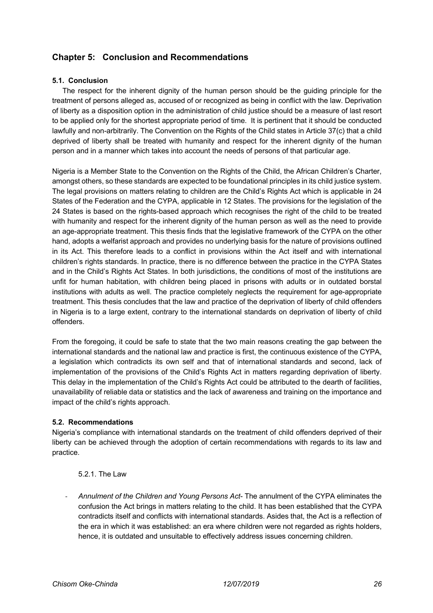# **Chapter 5: Conclusion and Recommendations**

#### **5.1. Conclusion**

The respect for the inherent dignity of the human person should be the guiding principle for the treatment of persons alleged as, accused of or recognized as being in conflict with the law. Deprivation of liberty as a disposition option in the administration of child justice should be a measure of last resort to be applied only for the shortest appropriate period of time. It is pertinent that it should be conducted lawfully and non-arbitrarily. The Convention on the Rights of the Child states in Article 37(c) that a child deprived of liberty shall be treated with humanity and respect for the inherent dignity of the human person and in a manner which takes into account the needs of persons of that particular age.

Nigeria is a Member State to the Convention on the Rights of the Child, the African Children's Charter, amongst others, so these standards are expected to be foundational principles in its child justice system. The legal provisions on matters relating to children are the Child's Rights Act which is applicable in 24 States of the Federation and the CYPA, applicable in 12 States. The provisions for the legislation of the 24 States is based on the rights-based approach which recognises the right of the child to be treated with humanity and respect for the inherent dignity of the human person as well as the need to provide an age-appropriate treatment. This thesis finds that the legislative framework of the CYPA on the other hand, adopts a welfarist approach and provides no underlying basis for the nature of provisions outlined in its Act. This therefore leads to a conflict in provisions within the Act itself and with international children's rights standards. In practice, there is no difference between the practice in the CYPA States and in the Child's Rights Act States. In both jurisdictions, the conditions of most of the institutions are unfit for human habitation, with children being placed in prisons with adults or in outdated borstal institutions with adults as well. The practice completely neglects the requirement for age-appropriate treatment. This thesis concludes that the law and practice of the deprivation of liberty of child offenders in Nigeria is to a large extent, contrary to the international standards on deprivation of liberty of child offenders.

From the foregoing, it could be safe to state that the two main reasons creating the gap between the international standards and the national law and practice is first, the continuous existence of the CYPA, a legislation which contradicts its own self and that of international standards and second, lack of implementation of the provisions of the Child's Rights Act in matters regarding deprivation of liberty. This delay in the implementation of the Child's Rights Act could be attributed to the dearth of facilities, unavailability of reliable data or statistics and the lack of awareness and training on the importance and impact of the child's rights approach.

#### **5.2. Recommendations**

Nigeria's compliance with international standards on the treatment of child offenders deprived of their liberty can be achieved through the adoption of certain recommendations with regards to its law and practice.

## 5.2.1. The Law

- *Annulment of the Children and Young Persons Act*- The annulment of the CYPA eliminates the confusion the Act brings in matters relating to the child. It has been established that the CYPA contradicts itself and conflicts with international standards. Asides that, the Act is a reflection of the era in which it was established: an era where children were not regarded as rights holders, hence, it is outdated and unsuitable to effectively address issues concerning children.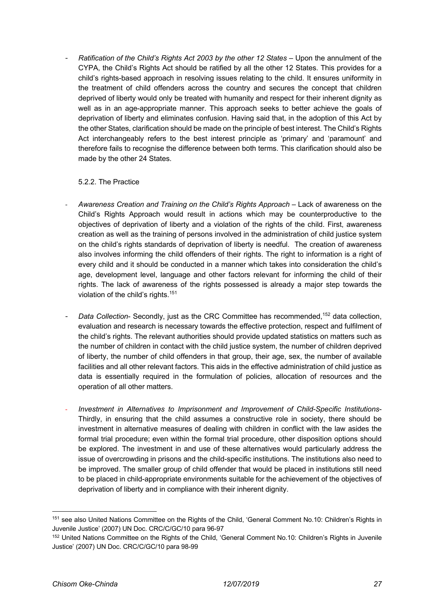- *Ratification of the Child's Rights Act 2003 by the other 12 States* – Upon the annulment of the CYPA, the Child's Rights Act should be ratified by all the other 12 States. This provides for a child's rights-based approach in resolving issues relating to the child. It ensures uniformity in the treatment of child offenders across the country and secures the concept that children deprived of liberty would only be treated with humanity and respect for their inherent dignity as well as in an age-appropriate manner. This approach seeks to better achieve the goals of deprivation of liberty and eliminates confusion. Having said that, in the adoption of this Act by the other States, clarification should be made on the principle of best interest. The Child's Rights Act interchangeably refers to the best interest principle as 'primary' and 'paramount' and therefore fails to recognise the difference between both terms. This clarification should also be made by the other 24 States.

#### 5.2.2. The Practice

- *Awareness Creation and Training on the Child's Rights Approach* Lack of awareness on the Child's Rights Approach would result in actions which may be counterproductive to the objectives of deprivation of liberty and a violation of the rights of the child. First, awareness creation as well as the training of persons involved in the administration of child justice system on the child's rights standards of deprivation of liberty is needful. The creation of awareness also involves informing the child offenders of their rights. The right to information is a right of every child and it should be conducted in a manner which takes into consideration the child's age, development level, language and other factors relevant for informing the child of their rights. The lack of awareness of the rights possessed is already a major step towards the violation of the child's rights.<sup>151</sup>
- *Data Collection* Secondly, just as the CRC Committee has recommended,152 data collection, evaluation and research is necessary towards the effective protection, respect and fulfilment of the child's rights. The relevant authorities should provide updated statistics on matters such as the number of children in contact with the child justice system, the number of children deprived of liberty, the number of child offenders in that group, their age, sex, the number of available facilities and all other relevant factors. This aids in the effective administration of child justice as data is essentially required in the formulation of policies, allocation of resources and the operation of all other matters.
- *Investment in Alternatives to Imprisonment and Improvement of Child-Specific Institutions*-Thirdly, in ensuring that the child assumes a constructive role in society, there should be investment in alternative measures of dealing with children in conflict with the law asides the formal trial procedure; even within the formal trial procedure, other disposition options should be explored. The investment in and use of these alternatives would particularly address the issue of overcrowding in prisons and the child-specific institutions. The institutions also need to be improved. The smaller group of child offender that would be placed in institutions still need to be placed in child-appropriate environments suitable for the achievement of the objectives of deprivation of liberty and in compliance with their inherent dignity.

<sup>151</sup> see also United Nations Committee on the Rights of the Child, 'General Comment No.10: Children's Rights in Juvenile Justice' (2007) UN Doc. CRC/C/GC/10 para 96-97

<sup>152</sup> United Nations Committee on the Rights of the Child, 'General Comment No.10: Children's Rights in Juvenile Justice' (2007) UN Doc. CRC/C/GC/10 para 98-99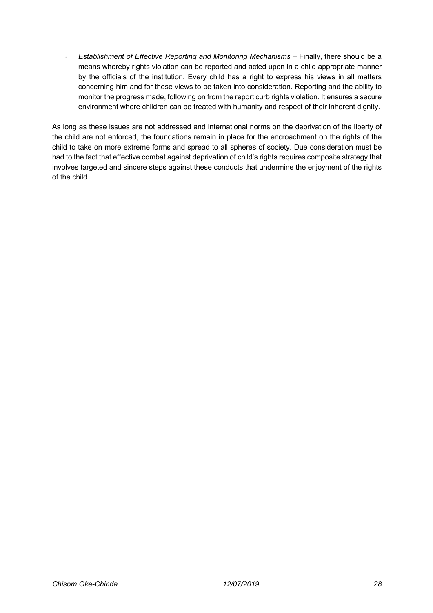- *Establishment of Effective Reporting and Monitoring Mechanisms* – Finally, there should be a means whereby rights violation can be reported and acted upon in a child appropriate manner by the officials of the institution. Every child has a right to express his views in all matters concerning him and for these views to be taken into consideration. Reporting and the ability to monitor the progress made, following on from the report curb rights violation. It ensures a secure environment where children can be treated with humanity and respect of their inherent dignity.

As long as these issues are not addressed and international norms on the deprivation of the liberty of the child are not enforced, the foundations remain in place for the encroachment on the rights of the child to take on more extreme forms and spread to all spheres of society. Due consideration must be had to the fact that effective combat against deprivation of child's rights requires composite strategy that involves targeted and sincere steps against these conducts that undermine the enjoyment of the rights of the child.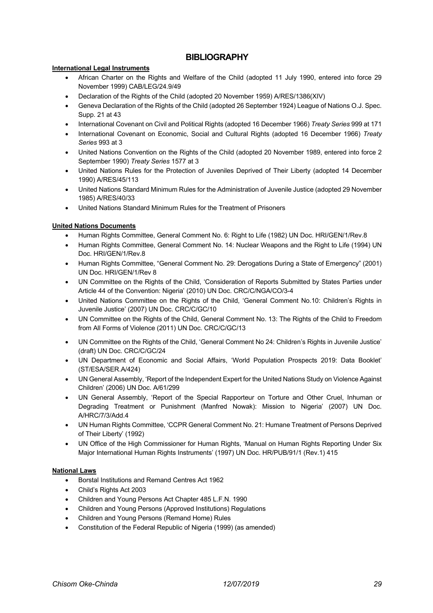## **BIBLIOGRAPHY**

#### **International Legal Instruments**

- African Charter on the Rights and Welfare of the Child (adopted 11 July 1990, entered into force 29 November 1999) CAB/LEG/24.9/49
- Declaration of the Rights of the Child (adopted 20 November 1959) A/RES/1386(XIV)
- Geneva Declaration of the Rights of the Child (adopted 26 September 1924) League of Nations O.J. Spec. Supp. 21 at 43
- International Covenant on Civil and Political Rights (adopted 16 December 1966) *Treaty Series* 999 at 171
- International Covenant on Economic, Social and Cultural Rights (adopted 16 December 1966) *Treaty Series* 993 at 3
- United Nations Convention on the Rights of the Child (adopted 20 November 1989, entered into force 2 September 1990) *Treaty Series* 1577 at 3
- United Nations Rules for the Protection of Juveniles Deprived of Their Liberty (adopted 14 December 1990) A/RES/45/113
- United Nations Standard Minimum Rules for the Administration of Juvenile Justice (adopted 29 November 1985) A/RES/40/33
- United Nations Standard Minimum Rules for the Treatment of Prisoners

#### **United Nations Documents**

- Human Rights Committee, General Comment No. 6: Right to Life (1982) UN Doc. HRI/GEN/1/Rev.8
- Human Rights Committee, General Comment No. 14: Nuclear Weapons and the Right to Life (1994) UN Doc. HRI/GEN/1/Rev.8
- Human Rights Committee, "General Comment No. 29: Derogations During a State of Emergency" (2001) UN Doc. HRI/GEN/1/Rev 8
- UN Committee on the Rights of the Child, 'Consideration of Reports Submitted by States Parties under Article 44 of the Convention: Nigeria' (2010) UN Doc. CRC/C/NGA/CO/3-4
- United Nations Committee on the Rights of the Child, 'General Comment No.10: Children's Rights in Juvenile Justice' (2007) UN Doc. CRC/C/GC/10
- UN Committee on the Rights of the Child, General Comment No. 13: The Rights of the Child to Freedom from All Forms of Violence (2011) UN Doc. CRC/C/GC/13
- UN Committee on the Rights of the Child, 'General Comment No 24: Children's Rights in Juvenile Justice' (draft) UN Doc. CRC/C/GC/24
- UN Department of Economic and Social Affairs, 'World Population Prospects 2019: Data Booklet' (ST/ESA/SER.A/424)
- UN General Assembly, 'Report of the Independent Expert for the United Nations Study on Violence Against Children' (2006) UN Doc. A/61/299
- UN General Assembly, 'Report of the Special Rapporteur on Torture and Other Cruel, Inhuman or Degrading Treatment or Punishment (Manfred Nowak): Mission to Nigeria' (2007) UN Doc. A/HRC/7/3/Add.4
- UN Human Rights Committee, 'CCPR General Comment No. 21: Humane Treatment of Persons Deprived of Their Liberty' (1992)
- UN Office of the High Commissioner for Human Rights, 'Manual on Human Rights Reporting Under Six Major International Human Rights Instruments' (1997) UN Doc. HR/PUB/91/1 (Rev.1) 415

#### **National Laws**

- Borstal Institutions and Remand Centres Act 1962
- Child's Rights Act 2003
- Children and Young Persons Act Chapter 485 L.F.N. 1990
- Children and Young Persons (Approved Institutions) Regulations
- Children and Young Persons (Remand Home) Rules
- Constitution of the Federal Republic of Nigeria (1999) (as amended)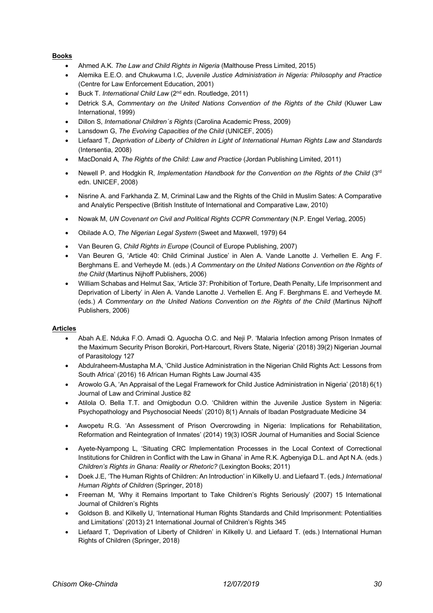#### **Books**

- Ahmed A.K. *The Law and Child Rights in Nigeria* (Malthouse Press Limited, 2015)
- Alemika E.E.O. and Chukwuma I.C, *Juvenile Justice Administration in Nigeria: Philosophy and Practice* (Centre for Law Enforcement Education, 2001)
- Buck T. *International Child Law* (2nd edn. Routledge, 2011)
- Detrick S.A, *Commentary on the United Nations Convention of the Rights of the Child* (Kluwer Law International, 1999)
- Dillon S, *International Children´s Rights* (Carolina Academic Press, 2009)
- Lansdown G, *The Evolving Capacities of the Child* (UNICEF, 2005)
- Liefaard T, *Deprivation of Liberty of Children in Light of International Human Rights Law and Standards* (Intersentia, 2008)
- MacDonald A, *The Rights of the Child: Law and Practice* (Jordan Publishing Limited, 2011)
- Newell P. and Hodgkin R. *Implementation Handbook for the Convention on the Rights of the Child* (3<sup>rd</sup>) edn. UNICEF, 2008)
- Nisrine A. and Farkhanda Z. M, Criminal Law and the Rights of the Child in Muslim Sates: A Comparative and Analytic Perspective (British Institute of International and Comparative Law, 2010)
- Nowak M, *UN Covenant on Civil and Political Rights CCPR Commentary* (N.P. Engel Verlag, 2005)
- Obilade A.O, *The Nigerian Legal System* (Sweet and Maxwell, 1979) 64
- Van Beuren G, *Child Rights in Europe* (Council of Europe Publishing, 2007)
- Van Beuren G, 'Article 40: Child Criminal Justice' in Alen A. Vande Lanotte J. Verhellen E. Ang F. Berghmans E. and Verheyde M. (eds.) *A Commentary on the United Nations Convention on the Rights of the Child* (Martinus Nijhoff Publishers, 2006)
- William Schabas and Helmut Sax, 'Article 37: Prohibition of Torture, Death Penalty, Life Imprisonment and Deprivation of Liberty' in Alen A. Vande Lanotte J. Verhellen E. Ang F. Berghmans E. and Verheyde M. (eds.) *A Commentary on the United Nations Convention on the Rights of the Child* (Martinus Nijhoff Publishers, 2006)

#### **Articles**

- Abah A.E. Nduka F.O. Amadi Q. Aguocha O.C. and Neji P. 'Malaria Infection among Prison Inmates of the Maximum Security Prison Borokiri, Port-Harcourt, Rivers State, Nigeria' (2018) 39(2) Nigerian Journal of Parasitology 127
- Abdulraheem-Mustapha M.A, 'Child Justice Administration in the Nigerian Child Rights Act: Lessons from South Africa' (2016) 16 African Human Rights Law Journal 435
- Arowolo G.A, 'An Appraisal of the Legal Framework for Child Justice Administration in Nigeria' (2018) 6(1) Journal of Law and Criminal Justice 82
- Atilola O. Bella T.T. and Omigbodun O.O. 'Children within the Juvenile Justice System in Nigeria: Psychopathology and Psychosocial Needs' (2010) 8(1) Annals of Ibadan Postgraduate Medicine 34
- Awopetu R.G. 'An Assessment of Prison Overcrowding in Nigeria: Implications for Rehabilitation, Reformation and Reintegration of Inmates' (2014) 19(3) IOSR Journal of Humanities and Social Science
- Ayete-Nyampong L, 'Situating CRC Implementation Processes in the Local Context of Correctional Institutions for Children in Conflict with the Law in Ghana' in Ame R.K. Agbenyiga D.L. and Apt N.A. (eds.) *Children's Rights in Ghana: Reality or Rhetoric?* (Lexington Books; 2011)
- Doek J.E, 'The Human Rights of Children: An Introduction' in Kilkelly U. and Liefaard T. (eds*.) International Human Rights of Children* (Springer, 2018)
- Freeman M, 'Why it Remains Important to Take Children's Rights Seriously' (2007) 15 International Journal of Children's Rights
- Goldson B. and Kilkelly U, 'International Human Rights Standards and Child Imprisonment: Potentialities and Limitations' (2013) 21 International Journal of Children's Rights 345
- Liefaard T, 'Deprivation of Liberty of Children' in Kilkelly U. and Liefaard T. (eds.) International Human Rights of Children (Springer, 2018)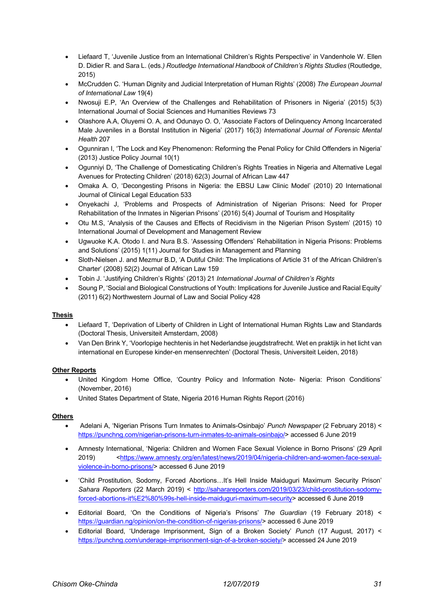- Liefaard T, 'Juvenile Justice from an International Children's Rights Perspective' in Vandenhole W. Ellen D. Didier R. and Sara L. (eds*.) Routledge International Handbook of Children's Rights Studies* (Routledge, 2015)
- McCrudden C. 'Human Dignity and Judicial Interpretation of Human Rights' (2008) *The European Journal of International Law* 19(4)
- Nwosuji E.P, 'An Overview of the Challenges and Rehabilitation of Prisoners in Nigeria' (2015) 5(3) International Journal of Social Sciences and Humanities Reviews 73
- Olashore A.A, Oluyemi O. A, and Odunayo O. O, 'Associate Factors of Delinquency Among Incarcerated Male Juveniles in a Borstal Institution in Nigeria' (2017) 16(3) *International Journal of Forensic Mental Health* 207
- Ogunniran I, 'The Lock and Key Phenomenon: Reforming the Penal Policy for Child Offenders in Nigeria' (2013) Justice Policy Journal 10(1)
- Ogunniyi D, 'The Challenge of Domesticating Children's Rights Treaties in Nigeria and Alternative Legal Avenues for Protecting Children' (2018) 62(3) Journal of African Law 447
- Omaka A. O, 'Decongesting Prisons in Nigeria: the EBSU Law Clinic Model' (2010) 20 International Journal of Clinical Legal Education 533
- Onyekachi J, 'Problems and Prospects of Administration of Nigerian Prisons: Need for Proper Rehabilitation of the Inmates in Nigerian Prisons' (2016) 5(4) Journal of Tourism and Hospitality
- Otu M.S, 'Analysis of the Causes and Effects of Recidivism in the Nigerian Prison System' (2015) 10 International Journal of Development and Management Review
- Ugwuoke K.A. Otodo I. and Nura B.S. 'Assessing Offenders' Rehabilitation in Nigeria Prisons: Problems and Solutions' (2015) 1(11) Journal for Studies in Management and Planning
- Sloth-Nielsen J. and Mezmur B.D, 'A Dutiful Child: The Implications of Article 31 of the African Children's Charter' (2008) 52(2) Journal of African Law 159
- Tobin J. 'Justifying Children's Rights' (2013) 21 *International Journal of Children's Rights*
- Soung P, 'Social and Biological Constructions of Youth: Implications for Juvenile Justice and Racial Equity' (2011) 6(2) Northwestern Journal of Law and Social Policy 428

#### **Thesis**

- Liefaard T, 'Deprivation of Liberty of Children in Light of International Human Rights Law and Standards (Doctoral Thesis, Universiteit Amsterdam, 2008)
- Van Den Brink Y, 'Voorlopige hechtenis in het Nederlandse jeugdstrafrecht. Wet en praktijk in het licht van international en Europese kinder-en mensenrechten' (Doctoral Thesis, Universiteit Leiden, 2018)

#### **Other Reports**

- United Kingdom Home Office, 'Country Policy and Information Note- Nigeria: Prison Conditions' (November, 2016)
- United States Department of State, Nigeria 2016 Human Rights Report (2016)

#### **Others**

- Adelani A, 'Nigerian Prisons Turn Inmates to Animals-Osinbajo' *Punch Newspaper* (2 February 2018) < https://punchng.com/nigerian-prisons-turn-inmates-to-animals-osinbajo/> accessed 6 June 2019
- Amnesty International, 'Nigeria: Children and Women Face Sexual Violence in Borno Prisons' (29 April 2019) <https://www.amnesty.org/en/latest/news/2019/04/nigeria-children-and-women-face-sexualviolence-in-borno-prisons/> accessed 6 June 2019
- 'Child Prostitution, Sodomy, Forced Abortions…It's Hell Inside Maiduguri Maximum Security Prison' Sahara Reporters (22 March 2019) < http://saharareporters.com/2019/03/23/child-prostitution-sodomyforced-abortions-it%E2%80%99s-hell-inside-maiduguri-maximum-security> accessed 6 June 2019
- Editorial Board, 'On the Conditions of Nigeria's Prisons' *The Guardian* (19 February 2018) < https://guardian.ng/opinion/on-the-condition-of-nigerias-prisons/> accessed 6 June 2019
- Editorial Board, 'Underage Imprisonment, Sign of a Broken Society' *Punch* (17 August, 2017) < https://punchng.com/underage-imprisonment-sign-of-a-broken-society/> accessed 24 June 2019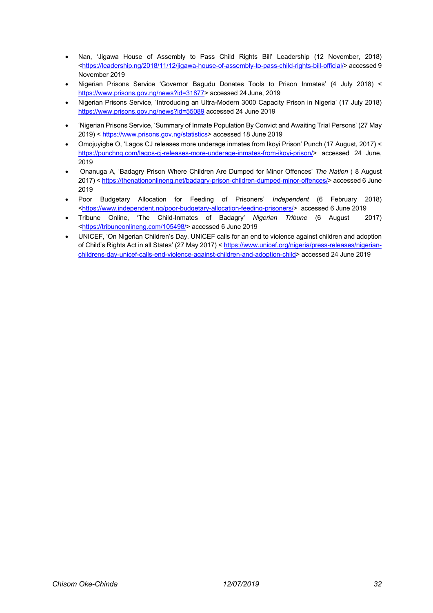- Nan, 'Jigawa House of Assembly to Pass Child Rights Bill' Leadership (12 November, 2018) <https://leadership.ng/2018/11/12/jigawa-house-of-assembly-to-pass-child-rights-bill-official/> accessed 9 November 2019
- Nigerian Prisons Service 'Governor Bagudu Donates Tools to Prison Inmates' (4 July 2018) < https://www.prisons.gov.ng/news?id=31877> accessed 24 June, 2019
- Nigerian Prisons Service, 'Introducing an Ultra-Modern 3000 Capacity Prison in Nigeria' (17 July 2018) https://www.prisons.gov.ng/news?id=55089 accessed 24 June 2019
- 'Nigerian Prisons Service, 'Summary of Inmate Population By Convict and Awaiting Trial Persons' (27 May 2019) < https://www.prisons.gov.ng/statistics> accessed 18 June 2019
- Omojuyigbe O, 'Lagos CJ releases more underage inmates from Ikoyi Prison' Punch (17 August, 2017) < https://punchng.com/lagos-cj-releases-more-underage-inmates-from-ikoyi-prison/> accessed 24 June, 2019
- Onanuga A, 'Badagry Prison Where Children Are Dumped for Minor Offences' *The Nation* ( 8 August 2017) < https://thenationonlineng.net/badagry-prison-children-dumped-minor-offences/> accessed 6 June 2019
- Poor Budgetary Allocation for Feeding of Prisoners' *Independent* (6 February 2018) <https://www.independent.ng/poor-budgetary-allocation-feeding-prisoners/> accessed 6 June 2019
- Tribune Online, 'The Child-Inmates of Badagry' *Nigerian Tribune* (6 August 2017) <https://tribuneonlineng.com/105498/> accessed 6 June 2019
- UNICEF, 'On Nigerian Children's Day, UNICEF calls for an end to violence against children and adoption of Child's Rights Act in all States' (27 May 2017) < https://www.unicef.org/nigeria/press-releases/nigerianchildrens-day-unicef-calls-end-violence-against-children-and-adoption-child> accessed 24 June 2019